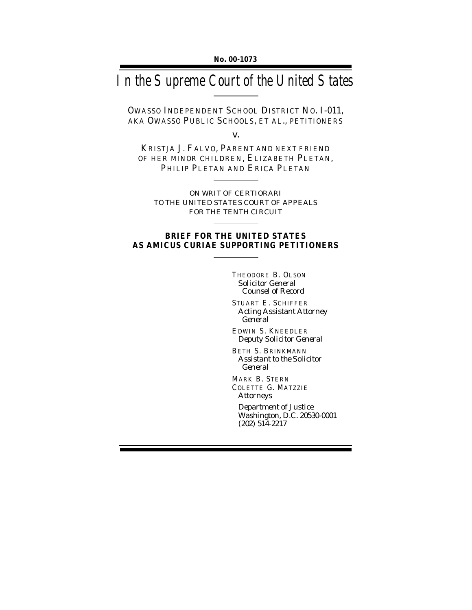# In the Supreme Court of the United States

OWASSO INDEPENDENT SCHOOL DISTRICT NO. I-011, AKA OWASSO PUBLIC SCHOOLS, ET AL., PETITIONERS

*v.*

KRISTJA J. FALVO, PARENT AND NEXT FRIEND OF HER MINOR CHILDREN, ELIZABETH PLETAN, PHILIP PLETAN AND ERICA PLETAN

*ON WRIT OF CERTIORARI TO THE UNITED STATES COURT OF APPEALS FOR THE TENTH CIRCUIT*

#### **BRIEF FOR THE UNITED STATES AS AMICUS CURIAE SUPPORTING PETITIONERS**

THEODORE B. OLSON *Solicitor General Counsel of Record*

STUART E. SCHIFFER *Acting Assistant Attorney General*

EDWIN S. KNEEDLER *Deputy Solicitor General*

BETH S. BRINKMANN *Assistant to the Solicitor General*

MARK B. STERN COLETTE G. MATZZIE *Attorneys*

> *Department of Justice Washington, D.C. 20530-0001 (202) 514-2217*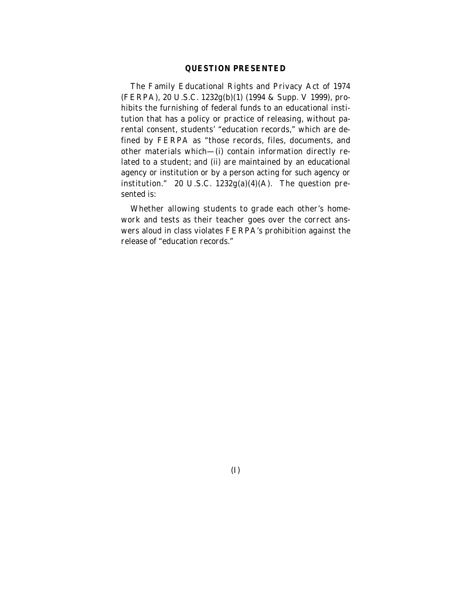#### **QUESTION PRESENTED**

The Family Educational Rights and Privacy Act of 1974 (FERPA), 20 U.S.C. 1232g(b)(1) (1994 & Supp. V 1999), prohibits the furnishing of federal funds to an educational institution that has a policy or practice of releasing, without parental consent, students' "education records," which are defined by FERPA as "those records, files, documents, and other materials which—(i) contain information directly related to a student; and (ii) are maintained by an educational agency or institution or by a person acting for such agency or institution." 20 U.S.C.  $1232g(a)(4)(A)$ . The question presented is:

Whether allowing students to grade each other's homework and tests as their teacher goes over the correct answers aloud in class violates FERPA's prohibition against the release of "education records."

(I)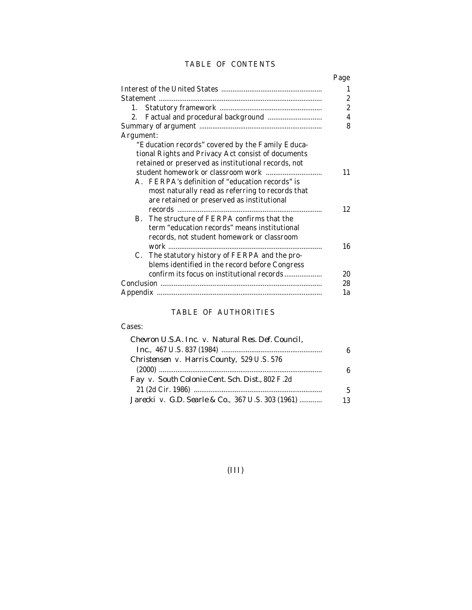## TABLE OF CONTENTS

|                                                     | Page                    |
|-----------------------------------------------------|-------------------------|
|                                                     | 1                       |
|                                                     | $\overline{c}$          |
|                                                     | $\overline{2}$          |
| 2.                                                  | $\overline{\mathbf{4}}$ |
|                                                     | 8                       |
| Argument:                                           |                         |
| "Education records" covered by the Family Educa-    |                         |
| tional Rights and Privacy Act consist of documents  |                         |
| retained or preserved as institutional records, not |                         |
|                                                     | 11                      |
| A. FERPA's definition of "education records" is     |                         |
| most naturally read as referring to records that    |                         |
| are retained or preserved as institutional          |                         |
|                                                     | 12                      |
| B. The structure of FERPA confirms that the         |                         |
| term "education records" means institutional        |                         |
| records, not student homework or classroom          |                         |
|                                                     | 16                      |
| C. The statutory history of FERPA and the pro-      |                         |
| blems identified in the record before Congress      |                         |
| confirm its focus on institutional records          | 20                      |
|                                                     | 28                      |
|                                                     | 1a                      |

## TABLE OF AUTHORITIES

## Cases:

| Chevron U.S.A. Inc. v. Natural Res. Def. Council, |    |
|---------------------------------------------------|----|
|                                                   | R  |
| Christensen v. Harris County, 529 U.S. 576        |    |
|                                                   | R. |
| Fay v. South Colonie Cent. Sch. Dist., 802 F.2d   |    |
|                                                   | 5  |
| Jarecki v. G.D. Searle & Co., 367 U.S. 303 (1961) | 13 |

(III)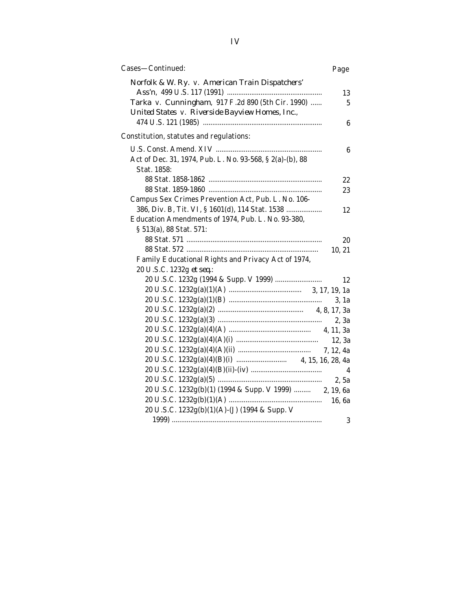| Cases-Continued:                                         | Page   |
|----------------------------------------------------------|--------|
| Norfolk & W. Ry. v. American Train Dispatchers'          |        |
|                                                          | 13     |
| Tarka v. Cunningham, 917 F.2d 890 (5th Cir. 1990)        | 5      |
| United States v. Riverside Bayview Homes, Inc.,          |        |
|                                                          | 6      |
| Constitution, statutes and regulations:                  |        |
|                                                          | 6      |
| Act of Dec. 31, 1974, Pub. L. No. 93-568, § 2(a)-(b), 88 |        |
| Stat. 1858:                                              |        |
|                                                          | 22     |
|                                                          | 23     |
| Campus Sex Crimes Prevention Act, Pub. L. No. 106-       |        |
| 386, Div. B, Tit. VI, § 1601(d), 114 Stat. 1538          | 12     |
| Education Amendments of 1974, Pub. L. No. 93-380,        |        |
| § 513(a), 88 Stat. 571:                                  |        |
|                                                          | 20     |
|                                                          | 10, 21 |
| Family Educational Rights and Privacy Act of 1974,       |        |
| 20 U.S.C. 1232g et seq.:                                 |        |
|                                                          | 12     |
|                                                          |        |
|                                                          | 3, 1a  |
|                                                          |        |
|                                                          | 2, 3a  |
|                                                          |        |
|                                                          | 12, 3a |
|                                                          |        |
|                                                          |        |
|                                                          | 4      |
|                                                          | 2, 5a  |
| 20 U.S.C. 1232g(b)(1) (1994 & Supp. V 1999)  2, 19, 6a   |        |
|                                                          | 16, 6a |
| 20 U.S.C. 1232g(b)(1)(A)-(J) (1994 & Supp. V             |        |
|                                                          | 3      |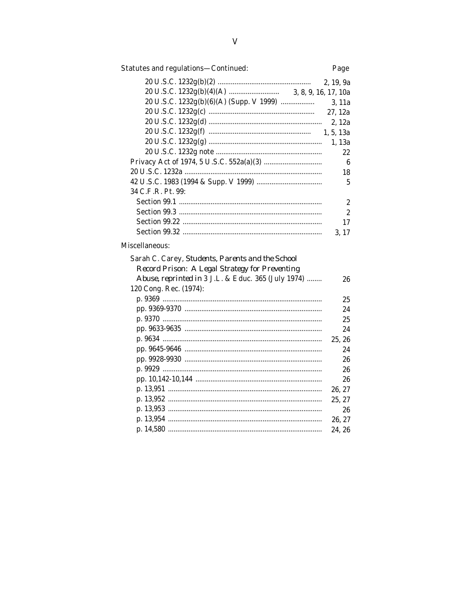| Statutes and regulations-Continued:                | Page      |
|----------------------------------------------------|-----------|
|                                                    | 2, 19, 9a |
|                                                    |           |
| 20 U.S.C. 1232g(b)(6)(A) (Supp. V 1999)            | 3, 11a    |
|                                                    | 27, 12a   |
|                                                    | 2, 12a    |
|                                                    | 1, 5, 13a |
|                                                    | 1, 13a    |
|                                                    | 22        |
|                                                    | 6         |
|                                                    | 18        |
|                                                    | 5         |
| 34 C.F.R. Pt. 99:                                  |           |
|                                                    | 2         |
|                                                    | 2         |
|                                                    | 17        |
|                                                    | 3.17      |
| Miscellaneous:                                     |           |
| Sarah C. Carey, Students, Parents and the School   |           |
| Record Prison: A Legal Strategy for Preventing     |           |
| Abuse, reprinted in 3 J.L. & Educ. 365 (July 1974) | 26        |
| 120 Cong. Rec. (1974):                             |           |
|                                                    | 25        |
|                                                    | 24        |
|                                                    | 25        |
|                                                    | 24        |
|                                                    | 25, 26    |
|                                                    | 2.4       |
|                                                    | 26        |
|                                                    | 26        |
|                                                    | 26        |
|                                                    | 26, 27    |
|                                                    | 25.27     |
|                                                    | 26        |
|                                                    | 26, 27    |
|                                                    | 24, 26    |
|                                                    |           |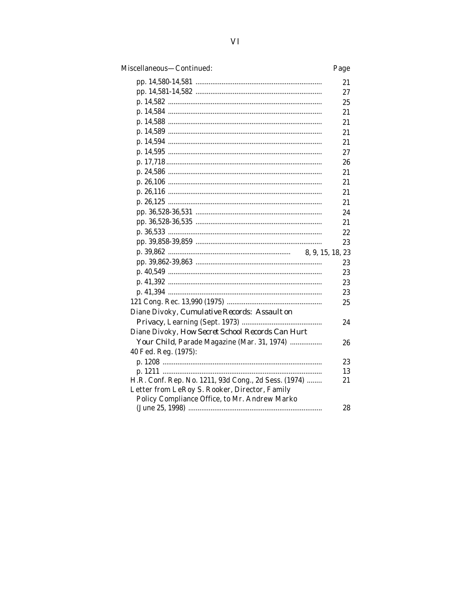| Miscellaneous-Continued:                             | Page |
|------------------------------------------------------|------|
|                                                      | 21   |
|                                                      | 27   |
|                                                      | 25   |
|                                                      | 21   |
|                                                      | 21   |
|                                                      | 21   |
|                                                      | 21   |
|                                                      | 27   |
|                                                      | 26   |
|                                                      | 21   |
|                                                      | 21   |
|                                                      | 21   |
|                                                      | 21   |
|                                                      | 24   |
|                                                      | 21   |
|                                                      | 22   |
|                                                      | 23   |
| 8, 9, 15, 18, 23                                     |      |
|                                                      | 23   |
|                                                      | 23   |
|                                                      | 23   |
|                                                      | 23   |
|                                                      | 25   |
| Diane Divoky, Cumulative Records: Assault on         |      |
|                                                      | 24   |
| Diane Divoky, How Secret School Records Can Hurt     |      |
| Your Child, Parade Magazine (Mar. 31, 1974)          | 26   |
| 40 Fed. Reg. (1975):                                 |      |
|                                                      | 23   |
|                                                      | 13   |
| H.R. Conf. Rep. No. 1211, 93d Cong., 2d Sess. (1974) | 21   |
| Letter from LeRoy S. Rooker, Director, Family        |      |
| Policy Compliance Office, to Mr. Andrew Marko        | 28   |
|                                                      |      |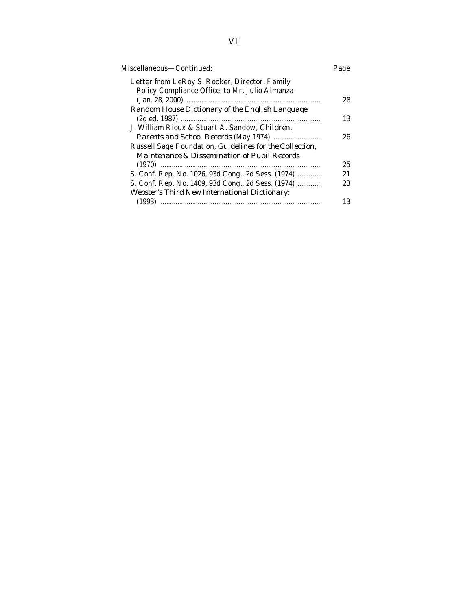| Miscellaneous—Continued:                                | Page |
|---------------------------------------------------------|------|
| Letter from LeRoy S. Rooker, Director, Family           |      |
| Policy Compliance Office, to Mr. Julio Almanza          |      |
|                                                         | 28   |
| Random House Dictionary of the English Language         |      |
|                                                         | 13   |
| J. William Rioux & Stuart A. Sandow, Children,          |      |
|                                                         | 26   |
| Russell Sage Foundation, Guidelines for the Collection, |      |
| Maintenance & Dissemination of Pupil Records            |      |
|                                                         | 25   |
| S. Conf. Rep. No. 1026, 93d Cong., 2d Sess. (1974)      | 21   |
| S. Conf. Rep. No. 1409, 93d Cong., 2d Sess. (1974)      | 23   |
| Webster's Third New International Dictionary:           |      |
| $(1993)$ .                                              | 13   |
|                                                         |      |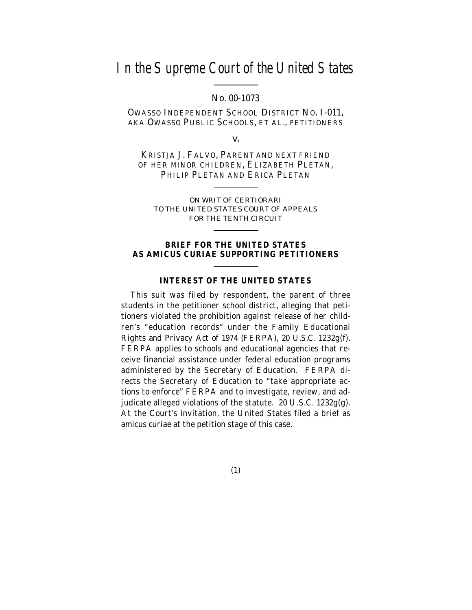## In the Supreme Court of the United States

No. 00-1073

OWASSO INDEPENDENT SCHOOL DISTRICT NO. I-011, AKA OWASSO PUBLIC SCHOOLS, ET AL., PETITIONERS

*v.*

KRISTJA J. FALVO, PARENT AND NEXT FRIEND OF HER MINOR CHILDREN, ELIZABETH PLETAN, PHILIP PLETAN AND ERICA PLETAN

*ON WRIT OF CERTIORARI TO THE UNITED STATES COURT OF APPEALS FOR THE TENTH CIRCUIT*

## **BRIEF FOR THE UNITED STATES AS AMICUS CURIAE SUPPORTING PETITIONERS**

#### **INTEREST OF THE UNITED STATES**

This suit was filed by respondent, the parent of three students in the petitioner school district, alleging that petitioners violated the prohibition against release of her children's "education records" under the Family Educational Rights and Privacy Act of 1974 (FERPA),  $20$  U.S.C.  $1232g(f)$ . FERPA applies to schools and educational agencies that receive financial assistance under federal education programs administered by the Secretary of Education. FERPA directs the Secretary of Education to "take appropriate actions to enforce" FERPA and to investigate, review, and adjudicate alleged violations of the statute. 20 U.S.C. 1232g(g). At the Court's invitation, the United States filed a brief as amicus curiae at the petition stage of this case.

(1)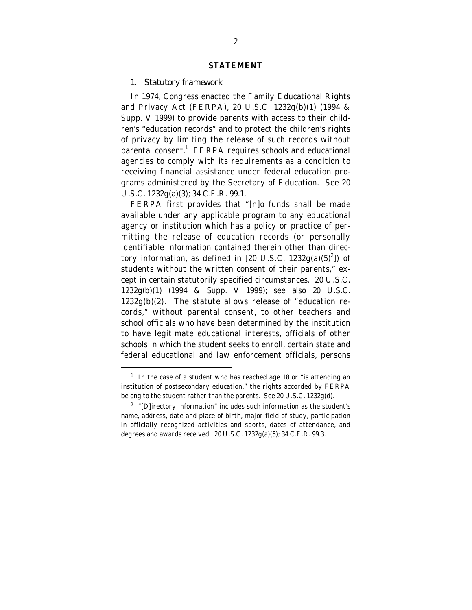#### **STATEMENT**

#### 1. *Statutory framework*

 $\overline{a}$ 

In 1974, Congress enacted the Family Educational Rights and Privacy Act (FERPA), 20 U.S.C. 1232g(b)(1) (1994 & Supp. V 1999) to provide parents with access to their children's "education records" and to protect the children's rights of privacy by limiting the release of such records without parental consent. $^1\,$  FERPA requires schools and educational agencies to comply with its requirements as a condition to receiving financial assistance under federal education programs administered by the Secretary of Education. See 20 U.S.C. 1232g(a)(3); 34 C.F.R. 99.1.

FERPA first provides that "[n]o funds shall be made available under any applicable program to any educational agency or institution which has a policy or practice of permitting the release of education records (or personally identifiable information contained therein other than directory information, as defined in [20 U.S.C. 1232g(a)(5)<sup>2</sup>]) of students without the written consent of their parents," except in certain statutorily specified circumstances. 20 U.S.C. 1 23 2g(b)(1) (1994 & Supp. V 1999); see also 20 U.S.C. 1232g(b)(2). The statute allows release of "education records," without parental consent, to other teachers and school officials who have been determined by the institution to have legitimate educational interests, officials of other schools in which the student seeks to enroll, certain state and federal educational and law enforcement officials, persons

<sup>&</sup>lt;sup>1</sup> In the case of a student who has reached age 18 or "is attending an institution of postsecondary education," the rights accorded by FERPA belong to the student rather than the parents. See 20 U.S.C. 1232g(d).

 $2$  "[D]irectory information" includes such information as the student's name, address, date and place of birth, major field of study, participation in officially recognized activities and sports, dates of attendance, and degrees and awards received. 20 U.S.C. 1232g(a)(5); 34 C.F.R. 99.3.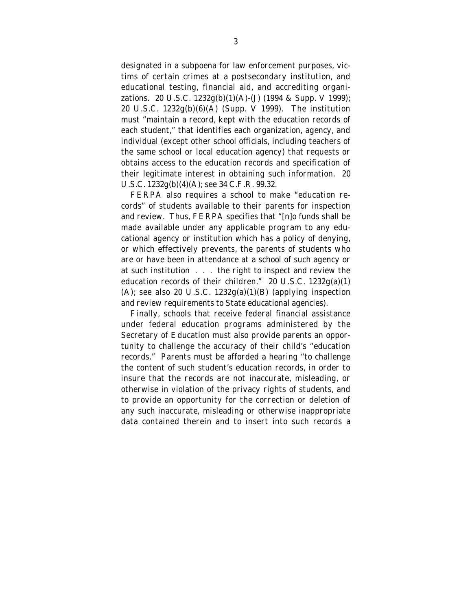designated in a subpoena for law enforcement purposes, victims of certain crimes at a postsecondary institution, and educational testing, financial aid, and accrediting organizations. 20 U.S.C. 1232g(b)(1)(A)-(J) (1994 & Supp. V 1999); 20 U.S.C. 1232g(b)(6)(A) (Supp. V 1999). The institution must "maintain a record, kept with the education records of each student," that identifies each organization, agency, and individual (except other school officials, including teachers of the same school or local education agency) that requests or obtains access to the education records and specification of their legitimate interest in obtaining such information. 20 U.S.C. 1232g(b)(4)(A); see 34 C.F.R. 99.32.

FERPA also requires a school to make "education records" of students available to their parents for inspection and review. Thus, FERPA specifies that "[n]o funds shall be made available under any applicable program to any educational agency or institution which has a policy of denying, or which effectively prevents, the parents of students who are or have been in attendance at a school of such agency or at such institution . . . the right to inspect and review the education records of their children." 20 U.S.C. 1232g(a)(1) (A); see also 20 U.S.C.  $1232g(a)(1)(B)$  (applying inspection and review requirements to State educational agencies).

Finally, schools that receive federal financial assistance under federal education programs administered by the Secretary of Education must also provide parents an opportunity to challenge the accuracy of their child's "education records." Parents must be afforded a hearing "to challenge the content of such student's education records, in order to insure that the records are not inaccurate, misleading, or otherwise in violation of the privacy rights of students, and to provide an opportunity for the correction or deletion of any such inaccurate, misleading or otherwise inappropriate data contained therein and to insert into such records a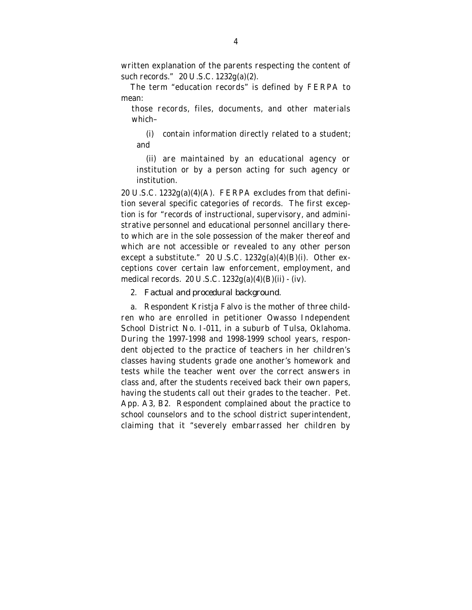written explanation of the parents respecting the content of such records." 20 U.S.C. 1232g(a)(2).

The term "education records" is defined by FERPA to mean:

those records, files, documents, and other materials which–

(i) contain information directly related to a student; and

(ii) are maintained by an educational agency or institution or by a person acting for such agency or institution.

20 U.S.C. 1232g(a)(4)(A). FERPA excludes from that definition several specific categories of records. The first exception is for "records of instructional, supervisory, and administrative personnel and educational personnel ancillary thereto which are in the sole possession of the maker thereof and which are not accessible or revealed to any other person except a substitute." 20 U.S.C.  $1232g(a)(4)(B)(i)$ . Other exceptions cover certain law enforcement, employment, and medical records. 20 U.S.C. 1232g(a)(4)(B)(ii) - (iv).

#### 2. *Factual and procedural background*.

a. Respondent Kristja Falvo is the mother of three children who are enrolled in petitioner Owasso Independent School District No. I-011, in a suburb of Tulsa, Oklahoma. During the 1997-1998 and 1998-1999 school years, respondent objected to the practice of teachers in her children's classes having students grade one another's homework and tests while the teacher went over the correct answers in class and, after the students received back their own papers, having the students call out their grades to the teacher. Pet. App. A3, B2. Respondent complained about the practice to school counselors and to the school district superintendent, claiming that it "severely embarrassed her children by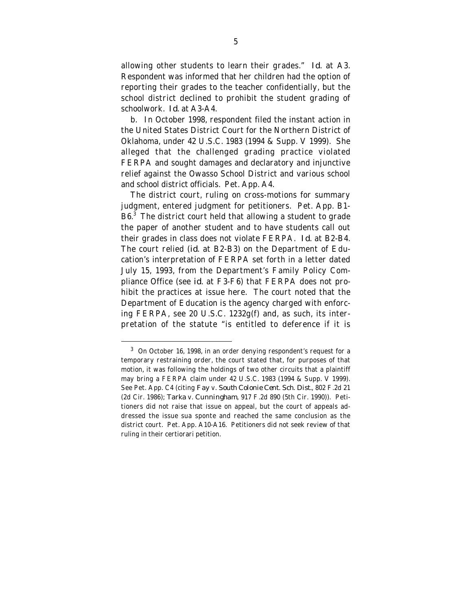allowing other students to learn their grades." *Id*. at A3. Respondent was informed that her children had the option of reporting their grades to the teacher confidentially, but the school district declined to prohibit the student grading of schoolwork. *Id*. at A3-A4.

b. In October 1998, respondent filed the instant action in the United States District Court for the Northern District of Oklahoma, under 42 U.S.C. 1983 (1994 & Supp. V 1999). She alleged that the challenged grading practice violated FERPA and sought damages and declaratory and injunctive relief against the Owasso School District and various school and school district officials. Pet. App. A4.

The district court, ruling on cross-motions for summary judgment, entered judgment for petitioners. Pet. App. B1- B6.<sup>3</sup> The district court held that allowing a student to grade the paper of another student and to have students call out their grades in class does not violate FERPA. *Id*. at B2-B4. The court relied (*id*. at B2-B3) on the Department of Education's interpretation of FERPA set forth in a letter dated July 15, 1993, from the Department's Family Policy Compliance Office (see *id*. at F3-F6) that FERPA does not prohibit the practices at issue here. The court noted that the Department of Education is the agency charged with enforcing FERPA, see 20 U.S.C. 1232g(f) and, as such, its interpretation of the statute "is entitled to deference if it is

<sup>3</sup> On October 16, 1998, in an order denying respondent's request for a temporary restraining order, the court stated that, for purposes of that motion, it was following the holdings of two other circuits that a plaintiff may bring a FERPA claim under 42 U.S.C. 1983 (1994 & Supp. V 1999). See Pet. App. C4 (citing *Fay* v. *South Colonie Cent. Sch. Dist.*, 802 F.2d 21 (2d Cir. 1986); *Tarka* v. *Cunningham*, 917 F.2d 890 (5th Cir. 1990)). Petitioners did not raise that issue on appeal, but the court of appeals addressed the issue sua sponte and reached the same conclusion as the district court. Pet. App. A10-A16. Petitioners did not seek review of that ruling in their certiorari petition.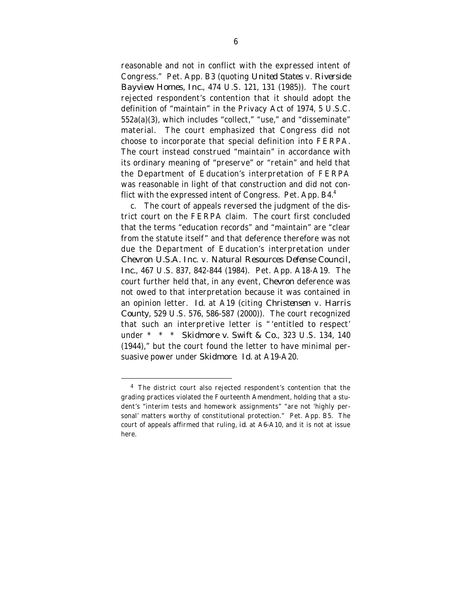reasonable and not in conflict with the expressed intent of Congress." Pet. App. B3 (quoting *United States* v. *Riverside Bayview Homes, Inc.*, 474 U.S. 121, 131 (1985)). The court rejected respondent's contention that it should adopt the definition of "maintain" in the Privacy Act of 1974, 5 U.S.C. 552a(a)(3), which includes "collect," "use," and "disseminate" material. The court emphasized that Congress did not choose to incorporate that special definition into FERPA. The court instead construed "maintain" in accordance with its ordinary meaning of "preserve" or "retain" and held that the Department of Education's interpretation of FERPA was reasonable in light of that construction and did not conflict with the expressed intent of Congress. Pet. App. B4.<sup>4</sup>

c. The court of appeals reversed the judgment of the district court on the FERPA claim. The court first concluded that the terms "education records" and "maintain" are "clear from the statute itself" and that deference therefore was not due the Department of Education's interpretation under *Chevron U.S.A. Inc.* v. *Natural Resources Defense Council, Inc.*, 467 U.S. 837, 842-844 (1984). Pet. App. A18-A19. The court further held that, in any event, *Chevron* deference was not owed to that interpretation because it was contained in an opinion letter. *Id*. at A19 (citing *Christensen* v. *Harris County*, 529 U.S. 576, 586-587 (2000)). The court recognized that such an interpretive letter is " 'entitled to respect' under \* \* \* *Skidmore v. Swift & Co.*, 323 U.S. 134, 140 (1944)," but the court found the letter to have minimal persuasive power under *Skidmore*. *Id*. at A19-A20.

<sup>4</sup> The district court also rejected respondent's contention that the grading practices violated the Fourteenth Amendment, holding that a student's "interim tests and homework assignments" "are not 'highly personal' matters worthy of constitutional protection." Pet. App. B5. The court of appeals affirmed that ruling, *id*. at A6-A10, and it is not at issue here.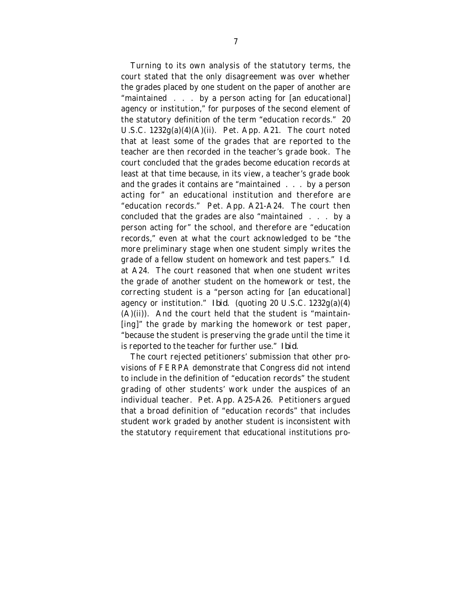Turning to its own analysis of the statutory terms, the court stated that the only disagreement was over whether the grades placed by one student on the paper of another are "maintained . . . by a person acting for [an educational] agency or institution," for purposes of the second element of the statutory definition of the term "education records." 20 U.S.C. 1232g(a)(4)(A)(ii). Pet. App. A21. The court noted that at least some of the grades that are reported to the teacher are then recorded in the teacher's grade book. The court concluded that the grades become education records at least at that time because, in its view, a teacher's grade book and the grades it contains are "maintained . . . by a person acting for" an educational institution and therefore are "education records." Pet. App. A21-A24. The court then concluded that the grades are also "maintained . . . by a person acting for" the school, and therefore are "education records," even at what the court acknowledged to be "the more preliminary stage when one student simply writes the grade of a fellow student on homework and test papers." *Id*. at A24. The court reasoned that when one student writes the grade of another student on the homework or test, the correcting student is a "person acting for [an educational] agency or institution." *Ibid*. (quoting 20 U.S.C. 1232g(a)(4) (A)(ii)). And the court held that the student is "maintain- [ing]" the grade by marking the homework or test paper, "because the student is preserving the grade until the time it is reported to the teacher for further use." *Ibid*.

The court rejected petitioners' submission that other provisions of FERPA demonstrate that Congress did not intend to include in the definition of "education records" the student grading of other students' work under the auspices of an individual teacher. Pet. App. A25-A26. Petitioners argued that a broad definition of "education records" that includes student work graded by another student is inconsistent with the statutory requirement that educational institutions pro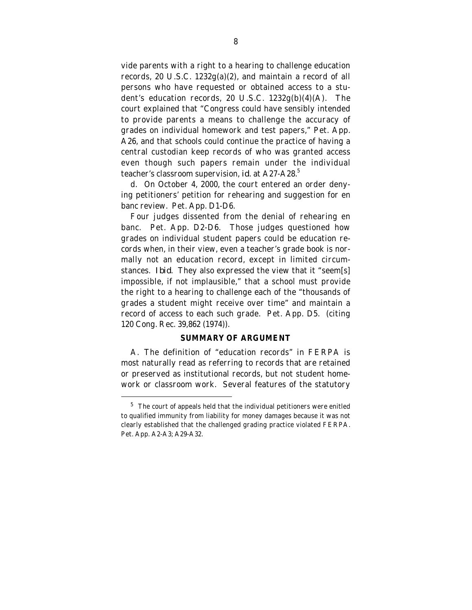vide parents with a right to a hearing to challenge education records, 20 U.S.C. 1232g(a)(2), and maintain a record of all persons who have requested or obtained access to a student's education records, 20 U.S.C. 1232g(b)(4)(A). The court explained that "Congress could have sensibly intended to provide parents a means to challenge the accuracy of grades on individual homework and test papers," Pet. App. A26, and that schools could continue the practice of having a central custodian keep records of who was granted access even though such papers remain under the individual teacher's classroom supervision, *id.* at A27-A28.<sup>5</sup>

d. On October 4, 2000, the court entered an order denying petitioners' petition for rehearing and suggestion for en banc review. Pet. App. D1-D6.

Four judges dissented from the denial of rehearing en banc. Pet. App. D2-D6. Those judges questioned how grades on individual student papers could be education records when, in their view, even a teacher's grade book is normally not an education record, except in limited circumstances. *Ibid*. They also expressed the view that it "seem[s] impossible, if not implausible," that a school must provide the right to a hearing to challenge each of the "thousands of grades a student might receive over time" and maintain a record of access to each such grade. Pet. App. D5. (citing 120 Cong. Rec. 39,862 (1974)).

#### **SUMMARY OF ARGUMENT**

A. The definition of "education records" in FERPA is most naturally read as referring to records that are retained or preserved as institutional records, but not student homework or classroom work. Several features of the statutory

<sup>&</sup>lt;sup>5</sup> The court of appeals held that the individual petitioners were enitled to qualified immunity from liability for money damages because it was not clearly established that the challenged grading practice violated FERPA. Pet. App. A2-A3; A29-A32.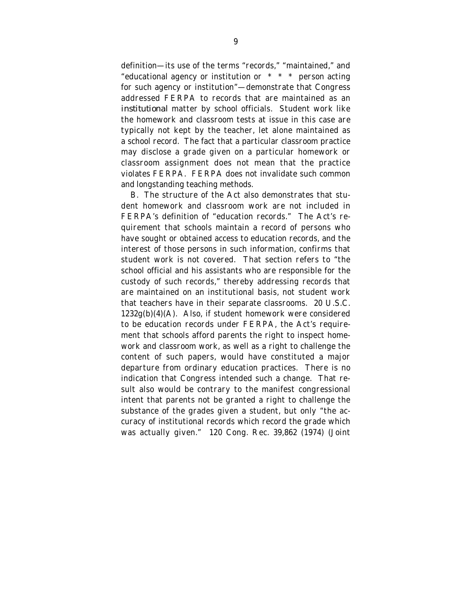definition—its use of the terms "records," "maintained," and "educational agency or institution or \* \* \* person acting for such agency or institution"—demonstrate that Congress addressed FERPA to records that are maintained as an *institutional* matter by school officials. Student work like the homework and classroom tests at issue in this case are typically not kept by the teacher, let alone maintained as a school record. The fact that a particular classroom practice may disclose a grade given on a particular homework or classroom assignment does not mean that the practice violates FERPA. FERPA does not invalidate such common and longstanding teaching methods.

B. The structure of the Act also demonstrates that student homework and classroom work are not included in FERPA's definition of "education records." The Act's requirement that schools maintain a record of persons who have sought or obtained access to education records, and the interest of those persons in such information, confirms that student work is not covered. That section refers to "the school official and his assistants who are responsible for the custody of such records," thereby addressing records that are maintained on an institutional basis, not student work that teachers have in their separate classrooms. 20 U.S.C. 1232g(b)(4)(A). Also, if student homework were considered to be education records under FERPA, the Act's requirement that schools afford parents the right to inspect homework and classroom work, as well as a right to challenge the content of such papers, would have constituted a major departure from ordinary education practices. There is no indication that Congress intended such a change. That result also would be contrary to the manifest congressional intent that parents not be granted a right to challenge the substance of the grades given a student, but only "the accuracy of institutional records which record the grade which was actually given." 120 Cong. Rec. 39,862 (1974) (Joint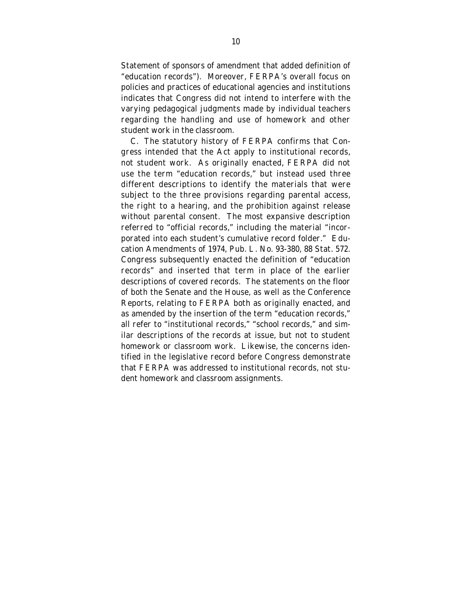Statement of sponsors of amendment that added definition of "education records"). Moreover, FERPA's overall focus on policies and practices of educational agencies and institutions indicates that Congress did not intend to interfere with the varying pedagogical judgments made by individual teachers regarding the handling and use of homework and other student work in the classroom.

C. The statutory history of FERPA confirms that Congress intended that the Act apply to institutional records, not student work. As originally enacted, FERPA did not use the term "education records," but instead used three different descriptions to identify the materials that were subject to the three provisions regarding parental access, the right to a hearing, and the prohibition against release without parental consent. The most expansive description referred to "official records," including the material "incorporated into each student's cumulative record folder." Education Amendments of 1974, Pub. L. No. 93-380, 88 Stat. 572. Congress subsequently enacted the definition of "education records" and inserted that term in place of the earlier descriptions of covered records. The statements on the floor of both the Senate and the House, as well as the Conference Reports, relating to FERPA both as originally enacted, and as amended by the insertion of the term "education records," all refer to "institutional records," "school records," and similar descriptions of the records at issue, but not to student homework or classroom work. Likewise, the concerns identified in the legislative record before Congress demonstrate that FERPA was addressed to institutional records, not student homework and classroom assignments.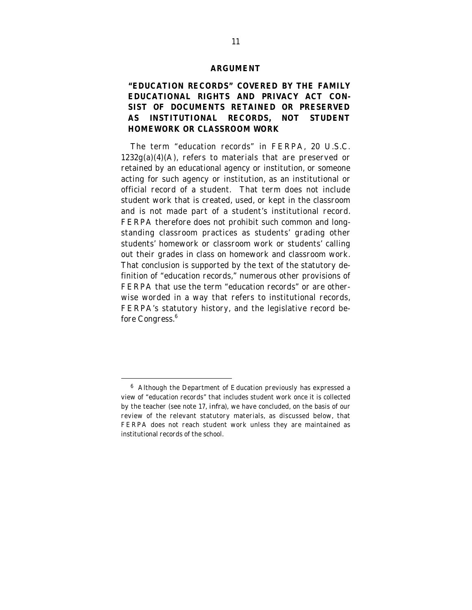#### **ARGUMENT**

## "EDUCATION RECORDS" COVERED BY THE FAMILY EDUCATIONAL RIGHTS AND PRIVACY ACT CON-**SIST OF DOCUMENTS RETAINED OR PRESERVED** AS INSTITUTIONAL RECORDS, NOT STUDENT **HOMEWORK OR CLASSROOM WORK**

The term "education records" in FERPA, 20 U.S.C.  $1232g(a)(4)(A)$ , refers to materials that are preserved or retained by an educational agency or institution, or someone acting for such agency or institution, as an institutional or official record of a student. That term does not include student work that is created, used, or kept in the classroom and is not made part of a student's institutional record. FERPA therefore does not prohibit such common and longstanding classroom practices as students' grading other students' homework or classroom work or students' calling out their grades in class on homework and classroom work. That conclusion is supported by the text of the statutory definition of "education records," numerous other provisions of FERPA that use the term "education records" or are otherwise worded in a way that refers to institutional records, FERPA's statutory history, and the legislative record before Congress.<sup>6</sup>

<sup>6</sup> Although the Department of Education previously has expressed a view of "education records" that includes student work once it is collected by the teacher (see note 17, *infra*), we have concluded, on the basis of our review of the relevant statutory materials, as discussed below, that FERPA does not reach student work unless they are maintained as institutional records of the school.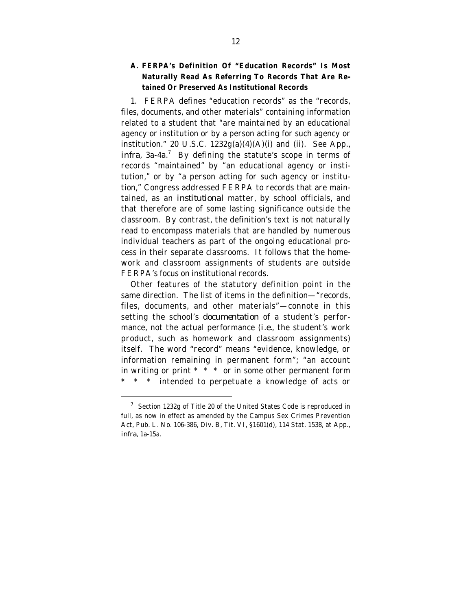## **A. FERPA's Definition Of "Education Records" Is Most Naturally Read As Referring To Records That Are Retained Or Preserved As Institutional Records**

1. FERPA defines "education records" as the "records, files, documents, and other materials" containing information related to a student that "are maintained by an educational agency or institution or by a person acting for such agency or institution." 20 U.S.C.  $1232g(a)(4)(A)(i)$  and (ii). See App., infra, 3a-4a.<sup>7</sup> By defining the statute's scope in terms of records "maintained" by "an educational agency or institution," or by "a person acting for such agency or institution," Congress addressed FERPA to records that are maintained, as an *institutional* matter, by school officials, and that therefore are of some lasting significance outside the classroom. By contrast, the definition's text is not naturally read to encompass materials that are handled by numerous individual teachers as part of the ongoing educational process in their separate classrooms. It follows that the homework and classroom assignments of students are outside FERPA's focus on institutional records.

Other features of the statutory definition point in the same direction. The list of items in the definition—"records, files, documents, and other materials"—connote in this setting the school's *documentation* of a student's performance, not the actual performance (*i.e.*, the student's work product, such as homework and classroom assignments) itself. The word "record" means "evidence, knowledge, or information remaining in permanent form"; "an account in writing or print \* \* \* or in some other permanent form \* \* \* intended to perpetuate a knowledge of acts or

 <sup>7</sup> Section 1232g of Title 20 of the United States Code is reproduced in full, as now in effect as amended by the Campus Sex Crimes Prevention Act, Pub. L. No. 106-386, Div. B, Tit. VI, §1601(d), 114 Stat. 1538, at App., *infra*, 1a-15a.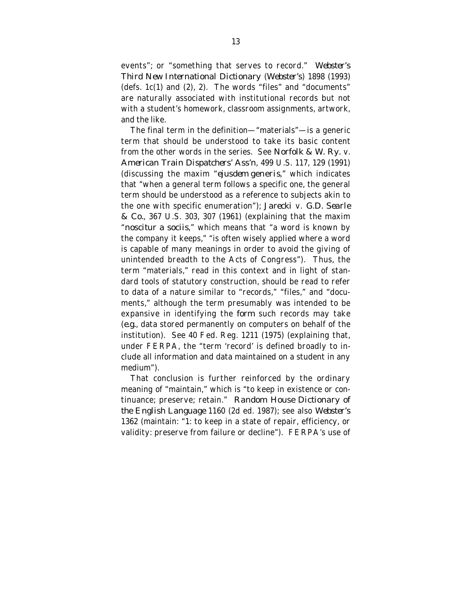events"; or "something that serves to record." *Webster's Third New International Dictionary* (*Webster's*) 1898 (1993) (defs. 1c(1) and (2), 2). The words "files" and "documents" are naturally associated with institutional records but not with a student's homework, classroom assignments, artwork, and the like.

The final term in the definition—"materials"—is a generic term that should be understood to take its basic content from the other words in the series. See *Norfolk & W. Ry.* v. *American Train Dispatchers' Ass'n*, 499 U.S. 117, 129 (1991) (discussing the maxim "*ejusdem generis*," which indicates that "when a general term follows a specific one, the general term should be understood as a reference to subjects akin to the one with specific enumeration"); *Jarecki* v. *G.D. Searle & Co.*, 367 U.S. 303, 307 (1961) (explaining that the maxim "*noscitur a sociis*," which means that "a word is known by the company it keeps," "is often wisely applied where a word is capable of many meanings in order to avoid the giving of unintended breadth to the Acts of Congress"). Thus, the term "materials," read in this context and in light of standard tools of statutory construction, should be read to refer to data of a nature similar to "records," "files," and "documents," although the term presumably was intended to be expansive in identifying the *form* such records may take (*e.g.*, data stored permanently on computers on behalf of the institution). See 40 Fed. Reg. 1211 (1975) (explaining that, under FERPA, the "term 'record' is defined broadly to include all information and data maintained on a student in any medium").

That conclusion is further reinforced by the ordinary meaning of "maintain," which is "to keep in existence or continuance; preserve; retain." *Random House Dictionary of the English Language* 1160 (2d ed. 1987); see also *Webster's* 1362 (maintain: "1: to keep in a state of repair, efficiency, or validity: preserve from failure or decline"). FERPA's use of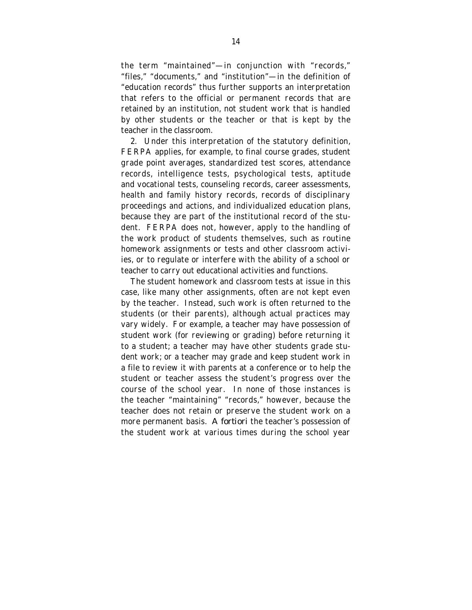the term "maintained"—in conjunction with "records," "files," "documents," and "institution"—in the definition of "education records" thus further supports an interpretation that refers to the official or permanent records that are retained by an institution, not student work that is handled by other students or the teacher or that is kept by the teacher in the classroom.

2. Under this interpretation of the statutory definition, FERPA applies, for example, to final course grades, student grade point averages, standardized test scores, attendance records, intelligence tests, psychological tests, aptitude and vocational tests, counseling records, career assessments, health and family history records, records of disciplinary proceedings and actions, and individualized education plans, because they are part of the institutional record of the student. FERPA does not, however, apply to the handling of the work product of students themselves, such as routine homework assignments or tests and other classroom activiies, or to regulate or interfere with the ability of a school or teacher to carry out educational activities and functions.

The student homework and classroom tests at issue in this case, like many other assignments, often are not kept even by the teacher. Instead, such work is often returned to the students (or their parents), although actual practices may vary widely. For example, a teacher may have possession of student work (for reviewing or grading) before returning it to a student; a teacher may have other students grade student work; or a teacher may grade and keep student work in a file to review it with parents at a conference or to help the student or teacher assess the student's progress over the course of the school year. In none of those instances is the teacher "maintaining" "records," however, because the teacher does not retain or preserve the student work on a more permanent basis. *A fortiori* the teacher's possession of the student work at various times during the school year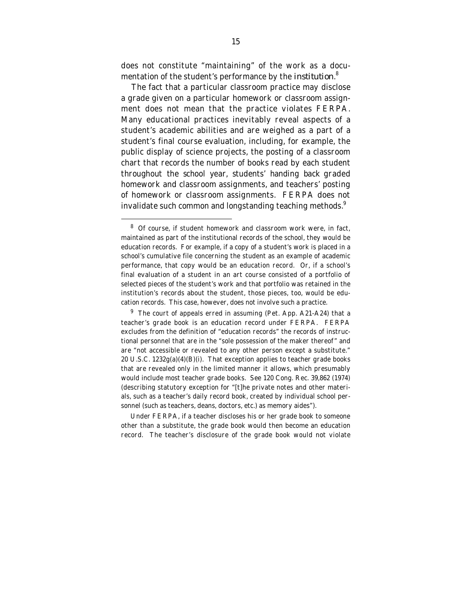does not constitute "maintaining" of the work as a documentation of the student's performance by the *institution*. 8

The fact that a particular classroom practice may disclose a grade given on a particular homework or classroom assignment does not mean that the practice violates FERPA. Many educational practices inevitably reveal aspects of a student's academic abilities and are weighed as a part of a student's final course evaluation, including, for example, the public display of science projects, the posting of a classroom chart that records the number of books read by each student throughout the school year, students' handing back graded homework and classroom assignments, and teachers' posting of homework or classroom assignments. FERPA does not invalidate such common and longstanding teaching methods.<sup>9</sup>

<sup>8</sup> Of course, if student homework and classroom work were, in fact, maintained as part of the institutional records of the school, they would be education records. For example, if a copy of a student's work is placed in a school's cumulative file concerning the student as an example of academic performance, that copy would be an education record. Or, if a school's final evaluation of a student in an art course consisted of a portfolio of selected pieces of the student's work and that portfolio was retained in the institution's records about the student, those pieces, too, would be education records. This case, however, does not involve such a practice.

<sup>&</sup>lt;sup>9</sup> The court of appeals erred in assuming (Pet. App. A21-A24) that a teacher's grade book is an education record under FERPA. FERPA excludes from the definition of "education records" the records of instructional personnel that are in the "sole possession of the maker thereof" and are "not accessible or revealed to any other person except a substitute." 20 U.S.C.  $1232g(a)(4)(B)(i)$ . That exception applies to teacher grade books that are revealed only in the limited manner it allows, which presumably would include most teacher grade books. See 120 Cong. Rec. 39,862 (1974) (describing statutory exception for "[t]he private notes and other materials, such as a teacher's daily record book, created by individual school personnel (such as teachers, deans, doctors, etc.) as memory aides").

Under FERPA, if a teacher discloses his or her grade book to someone other than a substitute, the grade book would then become an education record. The teacher's disclosure of the grade book would not violate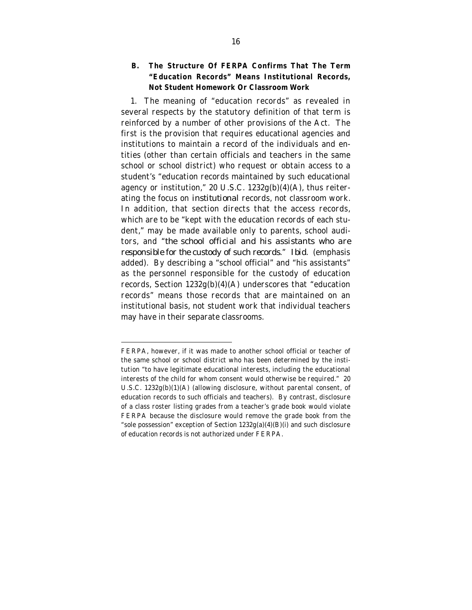## **B. The Structure Of FERPA Confirms That The Term "Education Records" Means Institutional Records, Not Student Homework Or Classroom Work**

1. The meaning of "education records" as revealed in several respects by the statutory definition of that term is reinforced by a number of other provisions of the Act. The first is the provision that requires educational agencies and institutions to maintain a record of the individuals and entities (other than certain officials and teachers in the same school or school district) who request or obtain access to a student's "education records maintained by such educational agency or institution," 20 U.S.C. 1232g(b)(4)(A), thus reiterating the focus on *institutional* records, not classroom work. In addition, that section directs that the access records, which are to be "kept with the education records of each student," may be made available only to parents, school auditors, and "*the school official and his assistants who are responsible for the custody of such records*." *Ibid*. (emphasis added). By describing a "school official" and "his assistants" as the personnel responsible for the custody of education records, Section 1232g(b)(4)(A) underscores that "education records" means those records that are maintained on an institutional basis, not student work that individual teachers may have in their separate classrooms.

FERPA, however, if it was made to another school official or teacher of the same school or school district who has been determined by the institution "to have legitimate educational interests, including the educational interests of the child for whom consent would otherwise be required." 20 U.S.C. 1232g(b)(1)(A) (allowing disclosure, without parental consent, of education records to such officials and teachers). By contrast, disclosure of a class roster listing grades from a teacher's grade book would violate FERPA because the disclosure would remove the grade book from the "sole possession" exception of Section 1232g(a)(4)(B)(i) and such disclosure of education records is not authorized under FERPA.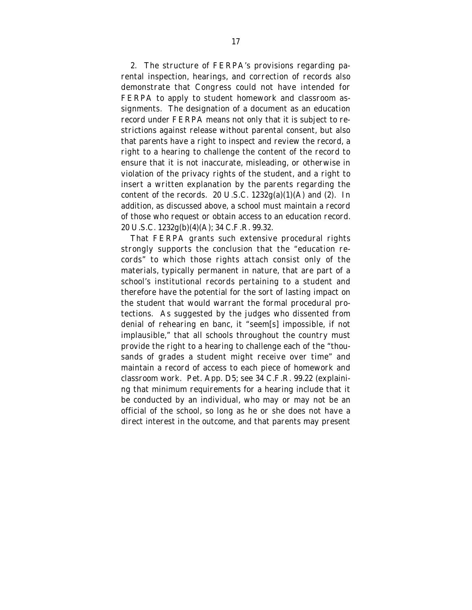2. The structure of FERPA's provisions regarding parental inspection, hearings, and correction of records also demonstrate that Congress could not have intended for FERPA to apply to student homework and classroom assignments. The designation of a document as an education record under FERPA means not only that it is subject to restrictions against release without parental consent, but also that parents have a right to inspect and review the record, a right to a hearing to challenge the content of the record to ensure that it is not inaccurate, misleading, or otherwise in violation of the privacy rights of the student, and a right to insert a written explanation by the parents regarding the content of the records. 20 U.S.C.  $1232g(a)(1)(A)$  and (2). In addition, as discussed above, a school must maintain a record of those who request or obtain access to an education record. 20 U.S.C. 1232g(b)(4)(A); 34 C.F.R. 99.32.

That FERPA grants such extensive procedural rights strongly supports the conclusion that the "education records" to which those rights attach consist only of the materials, typically permanent in nature, that are part of a school's institutional records pertaining to a student and therefore have the potential for the sort of lasting impact on the student that would warrant the formal procedural protections. As suggested by the judges who dissented from denial of rehearing en banc, it "seem[s] impossible, if not implausible," that all schools throughout the country must provide the right to a hearing to challenge each of the "thousands of grades a student might receive over time" and maintain a record of access to each piece of homework and classroom work. Pet. App. D5; see 34 C.F.R. 99.22 (explaining that minimum requirements for a hearing include that it be conducted by an individual, who may or may not be an official of the school, so long as he or she does not have a direct interest in the outcome, and that parents may present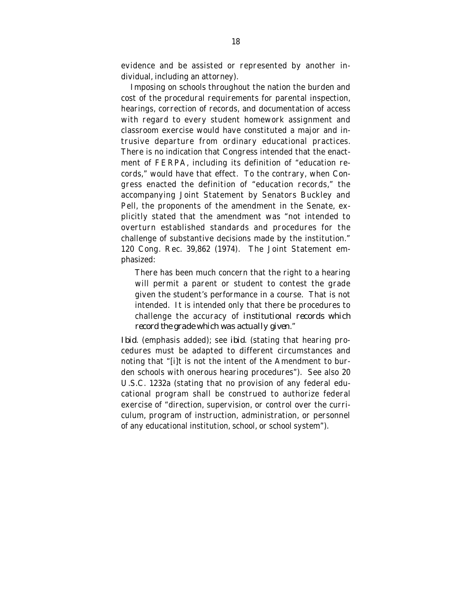evidence and be assisted or represented by another individual, including an attorney).

Imposing on schools throughout the nation the burden and cost of the procedural requirements for parental inspection, hearings, correction of records, and documentation of access with regard to every student homework assignment and classroom exercise would have constituted a major and intrusive departure from ordinary educational practices. There is no indication that Congress intended that the enactment of FERPA, including its definition of "education records," would have that effect. To the contrary, when Congress enacted the definition of "education records," the accompanying Joint Statement by Senators Buckley and Pell, the proponents of the amendment in the Senate, explicitly stated that the amendment was "not intended to overturn established standards and procedures for the challenge of substantive decisions made by the institution." 120 Cong. Rec. 39,862 (1974). The Joint Statement emphasized:

There has been much concern that the right to a hearing will permit a parent or student to contest the grade given the student's performance in a course. That is not intended. It is intended only that there be procedures to challenge the accuracy of *institutional records which record the grade which was actually given*."

*Ibid*. (emphasis added); see *ibid*. (stating that hearing procedures must be adapted to different circumstances and noting that "[i]t is not the intent of the Amendment to burden schools with onerous hearing procedures"). See also 20 U.S.C. 1232a (stating that no provision of any federal educational program shall be construed to authorize federal exercise of "direction, supervision, or control over the curriculum, program of instruction, administration, or personnel of any educational institution, school, or school system").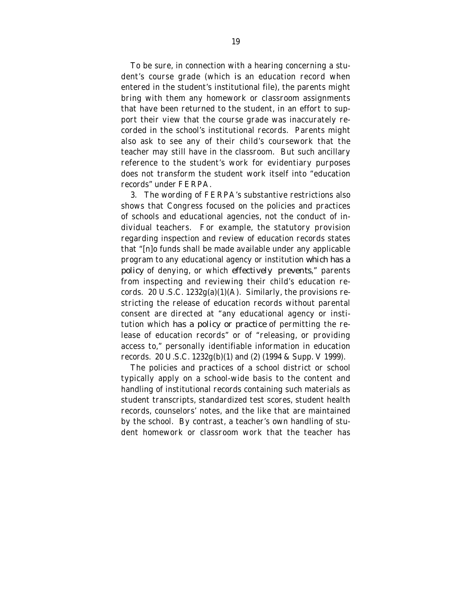To be sure, in connection with a hearing concerning a student's course grade (which *is* an education record when entered in the student's institutional file), the parents might bring with them any homework or classroom assignments that have been returned to the student, in an effort to support their view that the course grade was inaccurately recorded in the school's institutional records. Parents might also ask to see any of their child's coursework that the teacher may still have in the classroom. But such ancillary reference to the student's work for evidentiary purposes does not transform the student work itself into "education records" under FERPA.

3. The wording of FERPA's substantive restrictions also shows that Congress focused on the policies and practices of schools and educational agencies, not the conduct of individual teachers. For example, the statutory provision regarding inspection and review of education records states that "[n]o funds shall be made available under any applicable program to any educational agency or institution *which has a policy* of denying, or which *effectively prevents*," parents from inspecting and reviewing their child's education records. 20 U.S.C. 1232g(a)(1)(A). Similarly, the provisions restricting the release of education records without parental consent are directed at "any educational agency or institution which *has a policy or practice* of permitting the release of education records" or of "releasing, or providing access to," personally identifiable information in education records. 20 U.S.C. 1232g(b)(1) and (2) (1994 & Supp. V 1999).

The policies and practices of a school district or school typically apply on a school-wide basis to the content and handling of institutional records containing such materials as student transcripts, standardized test scores, student health records, counselors' notes, and the like that are maintained by the school. By contrast, a teacher's own handling of student homework or classroom work that the teacher has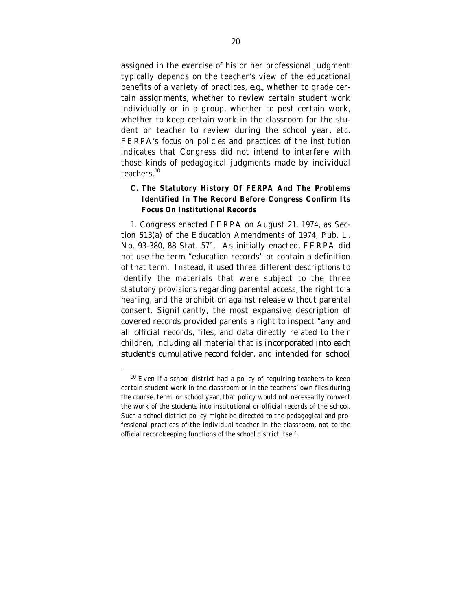assigned in the exercise of his or her professional judgment typically depends on the teacher's view of the educational benefits of a variety of practices, *e.g.*, whether to grade certain assignments, whether to review certain student work individually or in a group, whether to post certain work, whether to keep certain work in the classroom for the student or teacher to review during the school year, etc. FERPA's focus on policies and practices of the institution indicates that Congress did not intend to interfere with those kinds of pedagogical judgments made by individual teachers.<sup>10</sup>

## **C. The Statutory History Of FERPA And The Problems Identified In The Record Before Congress Confirm Its Focus On Institutional Records**

1. Congress enacted FERPA on August 21, 1974, as Section 513(a) of the Education Amendments of 1974, Pub. L. No. 93-380, 88 Stat. 571. As initially enacted, FERPA did not use the term "education records" or contain a definition of that term. Instead, it used three different descriptions to identify the materials that were subject to the three statutory provisions regarding parental access, the right to a hearing, and the prohibition against release without parental consent. Significantly, the most expansive description of covered records provided parents a right to inspect "any and all *official* records, files, and data directly related to their children, including all material that is *incorporated into each student's cumulative record folder*, and intended for *school*

 $10$  Even if a school district had a policy of requiring teachers to keep certain student work in the classroom or in the teachers' own files during the course, term, or school year, that policy would not necessarily convert the work of the *students* into institutional or official records of the *school*. Such a school district policy might be directed to the pedagogical and professional practices of the individual teacher in the classroom, not to the official recordkeeping functions of the school district itself.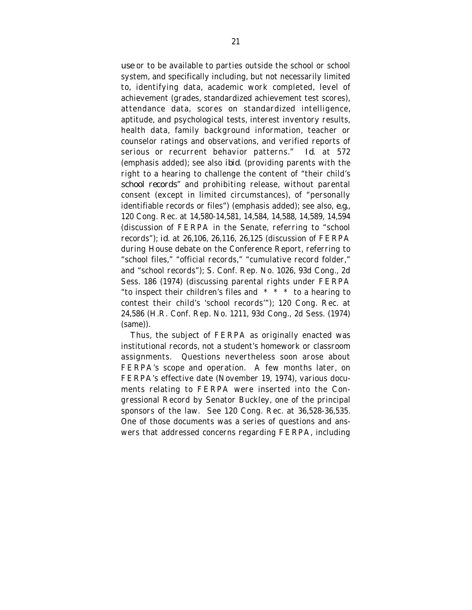*use* or to be available to parties outside the school or school system, and specifically including, but not necessarily limited to, identifying data, academic work completed, level of achievement (grades, standardized achievement test scores), attendance data, scores on standardized intelligence, aptitude, and psychological tests, interest inventory results, health data, family background information, teacher or counselor ratings and observations, and verified reports of serious or recurrent behavior patterns." *Id*. at 572 (emphasis added); see also *ibid*. (providing parents with the right to a hearing to challenge the content of "their child's *school records*" and prohibiting release, without parental consent (except in limited circumstances), of "personally identifiable records or files") (emphasis added); see also, *e.g.*, 120 Cong. Rec. at 14,580-14,581, 14,584, 14,588, 14,589, 14,594 (discussion of FERPA in the Senate, referring to "school records"); *id*. at 26,106, 26,116, 26,125 (discussion of FERPA during House debate on the Conference Report, referring to "school files," "official records," "cumulative record folder," and "school records"); S. Conf. Rep. No. 1026, 93d Cong., 2d Sess. 186 (1974) (discussing parental rights under FERPA "to inspect their children's files and \* \* \* to a hearing to contest their child's 'school records'"); 120 Cong. Rec. at 24,586 (H.R. Conf. Rep. No. 1211, 93d Cong., 2d Sess. (1974) (same)).

Thus, the subject of FERPA as originally enacted was institutional records, not a student's homework or classroom assignments. Questions nevertheless soon arose about FERPA's scope and operation. A few months later, on FERPA's effective date (November 19, 1974), various documents relating to FERPA were inserted into the Congressional Record by Senator Buckley, one of the principal sponsors of the law. See 120 Cong. Rec. at 36,528-36,535. One of those documents was a series of questions and answers that addressed concerns regarding FERPA, including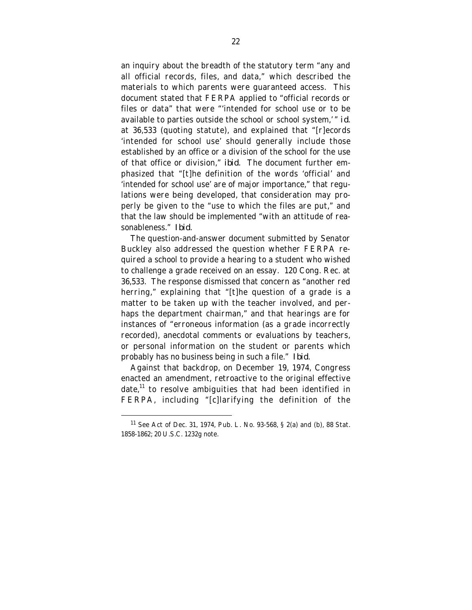an inquiry about the breadth of the statutory term "any and all official records, files, and data," which described the materials to which parents were guaranteed access. This document stated that FERPA applied to "official records or files or data" that were "'intended for school use or to be available to parties outside the school or school system,' " *id*. at 36,533 (quoting statute), and explained that "[r]ecords 'intended for school use' should generally include those established by an office or a division of the school for the use of that office or division," *ibid*. The document further emphasized that "[t]he definition of the words 'official' and 'intended for school use' are of major importance," that regulations were being developed, that consideration may properly be given to the "use to which the files are put," and that the law should be implemented "with an attitude of reasonableness." *Ibid*.

The question-and-answer document submitted by Senator Buckley also addressed the question whether FERPA required a school to provide a hearing to a student who wished to challenge a grade received on an essay. 120 Cong. Rec. at 36,533. The response dismissed that concern as "another red herring," explaining that "[t]he question of a grade is a matter to be taken up with the teacher involved, and perhaps the department chairman," and that hearings are for instances of "erroneous information (as a grade incorrectly recorded), anecdotal comments or evaluations by teachers, or personal information on the student or parents which probably has no business being in such a file." *Ibid*.

Against that backdrop, on December 19, 1974, Congress enacted an amendment, retroactive to the original effective date, $11$  to resolve ambiguities that had been identified in FERPA, including "[c]larifying the definition of the

<sup>11</sup> See Act of Dec. 31, 1974, Pub. L. No. 93-568, § 2(a) and (b), 88 Stat. 1858-1862; 20 U.S.C. 1232g note.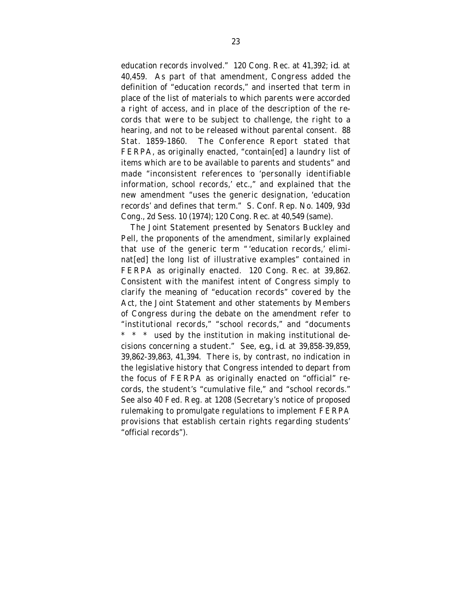education records involved." 120 Cong. Rec. at 41,392; *id*. at 40,459. As part of that amendment, Congress added the definition of "education records," and inserted that term in place of the list of materials to which parents were accorded a right of access, and in place of the description of the records that were to be subject to challenge, the right to a hearing, and not to be released without parental consent. 88 Stat. 1859-1860. The Conference Report stated that FERPA, as originally enacted, "contain[ed] a laundry list of items which are to be available to parents and students" and made "inconsistent references to 'personally identifiable information, school records,' etc.," and explained that the new amendment "uses the generic designation, 'education records' and defines that term." S. Conf. Rep. No. 1409, 93d Cong., 2d Sess. 10 (1974); 120 Cong. Rec. at 40,549 (same).

The Joint Statement presented by Senators Buckley and Pell, the proponents of the amendment, similarly explained that use of the generic term " 'education records,' eliminat[ed] the long list of illustrative examples" contained in FERPA as originally enacted. 120 Cong. Rec. at 39,862. Consistent with the manifest intent of Congress simply to clarify the meaning of "education records" covered by the Act, the Joint Statement and other statements by Members of Congress during the debate on the amendment refer to "institutional records," "school records," and "documents \* \* \* used by the institution in making institutional decisions concerning a student." See, *e.g.*, *id*. at 39,858-39,859, 39,862-39,863, 41,394. There is, by contrast, no indication in the legislative history that Congress intended to depart from the focus of FERPA as originally enacted on "official" records, the student's "cumulative file," and "school records." See also 40 Fed. Reg. at 1208 (Secretary's notice of proposed rulemaking to promulgate regulations to implement FERPA provisions that establish certain rights regarding students' "official records").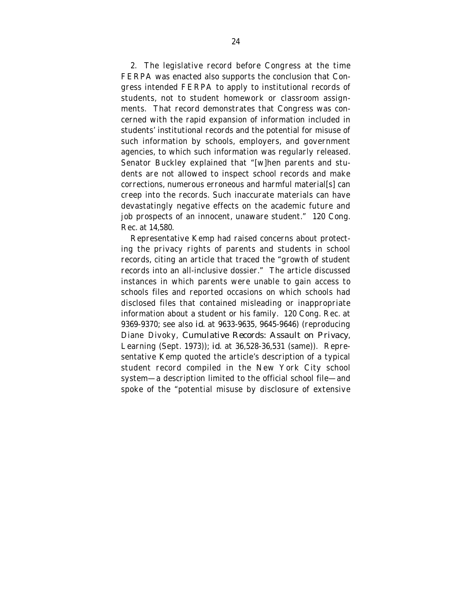2. The legislative record before Congress at the time FERPA was enacted also supports the conclusion that Congress intended FERPA to apply to institutional records of students, not to student homework or classroom assignments. That record demonstrates that Congress was concerned with the rapid expansion of information included in students' institutional records and the potential for misuse of such information by schools, employers, and government agencies, to which such information was regularly released. Senator Buckley explained that "[w]hen parents and students are not allowed to inspect school records and make corrections, numerous erroneous and harmful material[s] can creep into the records. Such inaccurate materials can have devastatingly negative effects on the academic future and job prospects of an innocent, unaware student." 120 Cong. Rec. at 14,580.

Representative Kemp had raised concerns about protecting the privacy rights of parents and students in school records, citing an article that traced the "growth of student records into an all-inclusive dossier." The article discussed instances in which parents were unable to gain access to schools files and reported occasions on which schools had disclosed files that contained misleading or inappropriate information about a student or his family. 120 Cong. Rec. at 9369-9370; see also *id*. at 9633-9635, 9645-9646) (reproducing Diane Divoky, *Cumulative Records: Assault on Privacy*, Learning (Sept. 1973)); *id*. at 36,528-36,531 (same)). Representative Kemp quoted the article's description of a typical student record compiled in the New York City school system—a description limited to the official school file—and spoke of the "potential misuse by disclosure of extensive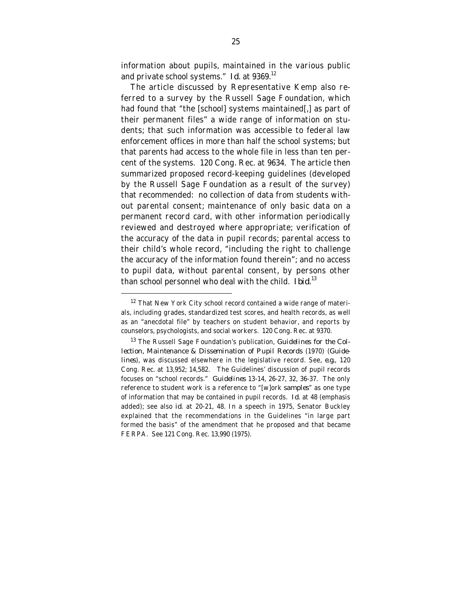information about pupils, maintained in the various public and private school systems." *Id.* at 9369.<sup>12</sup>

The article discussed by Representative Kemp also referred to a survey by the Russell Sage Foundation, which had found that "the [school] systems maintained[,] as part of their permanent files" a wide range of information on students; that such information was accessible to federal law enforcement offices in more than half the school systems; but that parents had access to the whole file in less than ten percent of the systems. 120 Cong. Rec. at 9634. The article then summarized proposed record-keeping guidelines (developed by the Russell Sage Foundation as a result of the survey) that recommended: no collection of data from students without parental consent; maintenance of only basic data on a permanent record card, with other information periodically reviewed and destroyed where appropriate; verification of the accuracy of the data in pupil records; parental access to their child's whole record, "including the right to challenge the accuracy of the information found therein"; and no access to pupil data, without parental consent, by persons other than school personnel who deal with the child. *Ibid*.<sup>13</sup>

 $12$  That New York City school record contained a wide range of materials, including grades, standardized test scores, and health records, as well as an "anecdotal file" by teachers on student behavior, and reports by counselors, psychologists, and social workers. 120 Cong. Rec. at 9370.

<sup>13</sup> The Russell Sage Foundation's publication, *Guidelines for the Collection, Maintenance & Dissemination of Pupil Records* (1970) (*Guidelines*), was discussed elsewhere in the legislative record. See, *e.g.*, 120 Cong. Rec. at 13,952; 14,582. The Guidelines' discussion of pupil records focuses on "school records." *Guidelines* 13-14, 26-27, 32, 36-37. The only reference to student work is a reference to "[w]ork *samples*" as one type of information that may be contained in pupil records. *Id*. at 48 (emphasis added); see also *id*. at 20-21, 48. In a speech in 1975, Senator Buckley explained that the recommendations in the Guidelines "in large part formed the basis" of the amendment that he proposed and that became FERPA. See 121 Cong. Rec. 13,990 (1975).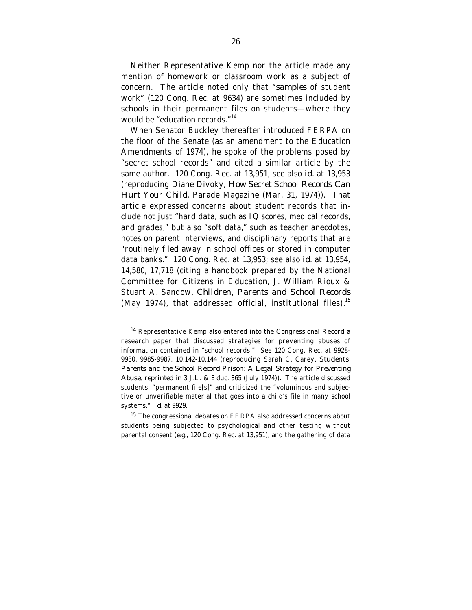Neither Representative Kemp nor the article made any mention of homework or classroom work as a subject of concern. The article noted only that "*samples* of student work" (120 Cong. Rec. at 9634) are sometimes included by schools in their permanent files on students—where they would be "education records."14

When Senator Buckley thereafter introduced FERPA on the floor of the Senate (as an amendment to the Education Amendments of 1974), he spoke of the problems posed by "secret school records" and cited a similar article by the same author. 120 Cong. Rec. at 13,951; see also *id*. at 13,953 (reproducing Diane Divoky, *How Secret School Records Can Hurt Your Child*, Parade Magazine (Mar. 31, 1974)). That article expressed concerns about student records that include not just "hard data, such as IQ scores, medical records, and grades," but also "soft data," such as teacher anecdotes, notes on parent interviews, and disciplinary reports that are "routinely filed away in school offices or stored in computer data banks." 120 Cong. Rec. at 13,953; see also *id*. at 13,954, 14,580, 17,718 (citing a handbook prepared by the National Committee for Citizens in Education, J. William Rioux & Stuart A. Sandow, *Children, Parents and School Records* (May 1974), that addressed official, institutional files).<sup>15</sup>

<sup>&</sup>lt;sup>14</sup> Representative Kemp also entered into the Congressional Record a research paper that discussed strategies for preventing abuses of information contained in "school records." See 120 Cong. Rec. at 9928- 9930, 9985-9987, 10,142-10,144 (reproducing Sarah C. Carey, *Students, Parents and the School Record Prison: A Legal Strategy for Preventing Abuse*, *reprinted in* 3 J.L. & Educ. 365 (July 1974)). The article discussed students' "permanent file[s]" and criticized the "voluminous and subjective or unverifiable material that goes into a child's file in many school systems." *Id*. at 9929.

<sup>&</sup>lt;sup>15</sup> The congressional debates on FERPA also addressed concerns about students being subjected to psychological and other testing without parental consent (*e.g.*, 120 Cong. Rec. at 13,951), and the gathering of data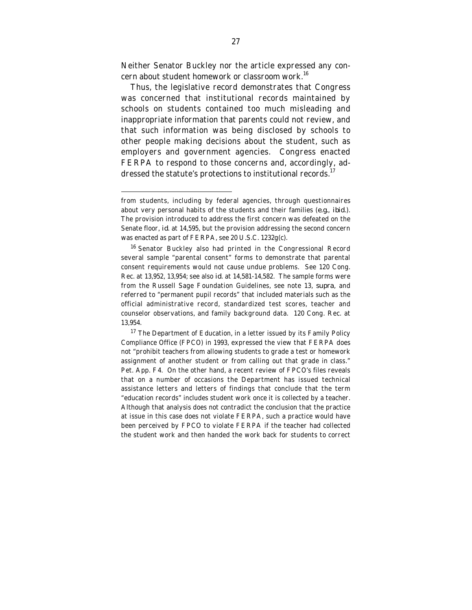Neither Senator Buckley nor the article expressed any concern about student homework or classroom work.<sup>16</sup>

Thus, the legislative record demonstrates that Congress was concerned that institutional records maintained by schools on students contained too much misleading and inappropriate information that parents could not review, and that such information was being disclosed by schools to other people making decisions about the student, such as employers and government agencies. Congress enacted FERPA to respond to those concerns and, accordingly, addressed the statute's protections to institutional records.<sup>17</sup>

from students, including by federal agencies, through questionnaires about very personal habits of the students and their families (*e.g.*, *ibid*.). The provision introduced to address the first concern was defeated on the Senate floor, *id*. at 14,595, but the provision addressing the second concern was enacted as part of FERPA, see 20 U.S.C. 1232g(c).

<sup>16</sup> Senator Buckley also had printed in the Congressional Record several sample "parental consent" forms to demonstrate that parental consent requirements would not cause undue problems. See 120 Cong. Rec. at 13,952, 13,954; see also *id*. at 14,581-14,582. The sample forms were from the Russell Sage Foundation Guidelines, see note 13, *supra*, and referred to "permanent pupil records" that included materials such as the official administrative record, standardized test scores, teacher and counselor observations, and family background data. 120 Cong. Rec. at 13,954.

<sup>&</sup>lt;sup>17</sup> The Department of Education, in a letter issued by its Family Policy Compliance Office (FPCO) in 1993, expressed the view that FERPA does not "prohibit teachers from allowing students to grade a test or homework assignment of another student or from calling out that grade in class." Pet. App. F4. On the other hand, a recent review of FPCO's files reveals that on a number of occasions the Department has issued technical assistance letters and letters of findings that conclude that the term "education records" includes student work once it is collected by a teacher. Although that analysis does not contradict the conclusion that the practice at issue in this case does not violate FERPA, such a practice would have been perceived by FPCO to violate FERPA if the teacher had collected the student work and then handed the work back for students to correct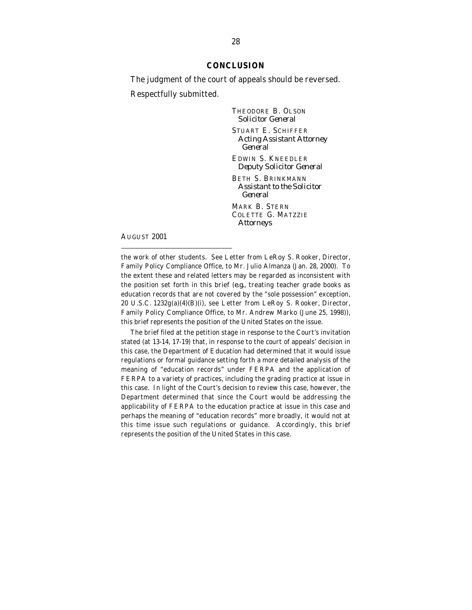#### **CONCLUSION**

The judgment of the court of appeals should be reversed. Respectfully submitted.

> THEODORE B. OLSON *Solicitor General* STUART E. SCHIFFER *Acting Assistant Attorney General* EDWIN S. KNEEDLER *Deputy Solicitor General* BETH S. BRINKMANN *Assistant to the Solicitor General* MARK B. STERN COLETTE G. MATZZIE

#### AUGUST 2001

 $\overline{a}$ 

the work of other students. See Letter from LeRoy S. Rooker, Director, Family Policy Compliance Office, to Mr. Julio Almanza (Jan. 28, 2000). To the extent these and related letters may be regarded as inconsistent with the position set forth in this brief (*e.g.*, treating teacher grade books as education records that are not covered by the "sole possession" exception, 20 U.S.C. 1232g(a)(4)(B)(i), see Letter from LeRoy S. Rooker, Director, Family Policy Compliance Office, to Mr. Andrew Marko (June 25, 1998)), this brief represents the position of the United States on the issue.

*Attorneys*

The brief filed at the petition stage in response to the Court's invitation stated (at 13-14, 17-19) that, in response to the court of appeals' decision in this case, the Department of Education had determined that it would issue regulations or formal guidance setting forth a more detailed analysis of the meaning of "education records" under FERPA and the application of FERPA to a variety of practices, including the grading practice at issue in this case. In light of the Court's decision to review this case, however, the Department determined that since the Court would be addressing the applicability of FERPA to the education practice at issue in this case and perhaps the meaning of "education records" more broadly, it would not at this time issue such regulations or guidance. Accordingly, this brief represents the position of the United States in this case.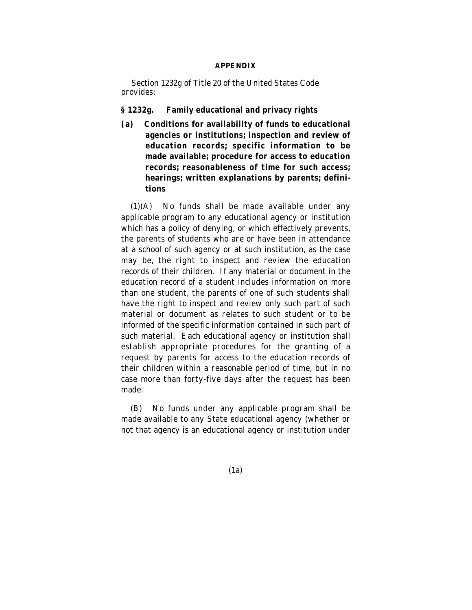#### **APPENDIX**

Section 1232g of Title 20 of the United States Code provides:

## **§ 1232g. Family educational and privacy rights**

**(a) Conditions for availability of funds to educational agencies or institutions; inspection and review of education records; specific information to be made available; procedure for access to education records; reasonableness of time for such access; hearings; written explanations by parents; definitions**

(1)(A) No funds shall be made available under any applicable program to any educational agency or institution which has a policy of denying, or which effectively prevents, the parents of students who are or have been in attendance at a school of such agency or at such institution, as the case may be, the right to inspect and review the education records of their children. If any material or document in the education record of a student includes information on more than one student, the parents of one of such students shall have the right to inspect and review only such part of such material or document as relates to such student or to be informed of the specific information contained in such part of such material. Each educational agency or institution shall establish appropriate procedures for the granting of a request by parents for access to the education records of their children within a reasonable period of time, but in no case more than forty-five days after the request has been made.

(B) No funds under any applicable program shall be made available to any State educational agency (whether or not that agency is an educational agency or institution under

(1a)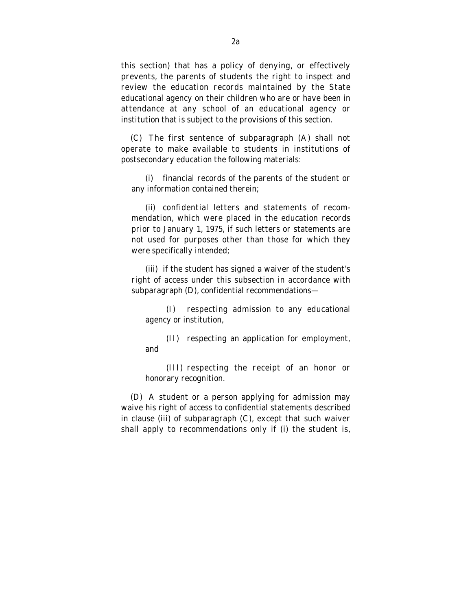this section) that has a policy of denying, or effectively prevents, the parents of students the right to inspect and review the education records maintained by the State educational agency on their children who are or have been in attendance at any school of an educational agency or institution that is subject to the provisions of this section.

(C) The first sentence of subparagraph (A) shall not operate to make available to students in institutions of postsecondary education the following materials:

(i) financial records of the parents of the student or any information contained therein;

(ii) confidential letters and statements of recommendation, which were placed in the education records prior to January 1, 1975, if such letters or statements are not used for purposes other than those for which they were specifically intended;

(iii) if the student has signed a waiver of the student's right of access under this subsection in accordance with subparagraph (D), confidential recommendations—

(I) respecting admission to any educational agency or institution,

(II) respecting an application for employment, and

(III) respecting the receipt of an honor or honorary recognition.

(D) A student or a person applying for admission may waive his right of access to confidential statements described in clause (iii) of subparagraph (C), except that such waiver shall apply to recommendations only if (i) the student is,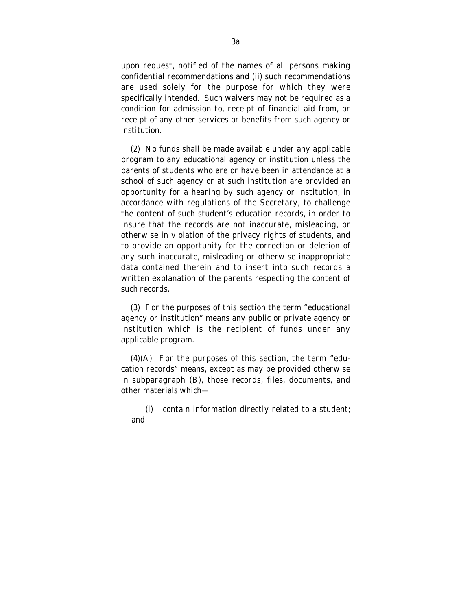upon request, notified of the names of all persons making confidential recommendations and (ii) such recommendations are used solely for the purpose for which they were specifically intended. Such waivers may not be required as a condition for admission to, receipt of financial aid from, or receipt of any other services or benefits from such agency or institution.

(2) No funds shall be made available under any applicable program to any educational agency or institution unless the parents of students who are or have been in attendance at a school of such agency or at such institution are provided an opportunity for a hearing by such agency or institution, in accordance with regulations of the Secretary, to challenge the content of such student's education records, in order to insure that the records are not inaccurate, misleading, or otherwise in violation of the privacy rights of students, and to provide an opportunity for the correction or deletion of any such inaccurate, misleading or otherwise inappropriate data contained therein and to insert into such records a written explanation of the parents respecting the content of such records.

(3) For the purposes of this section the term "educational agency or institution" means any public or private agency or institution which is the recipient of funds under any applicable program.

(4)(A) For the purposes of this section, the term "education records" means, except as may be provided otherwise in subparagraph (B), those records, files, documents, and other materials which—

(i) contain information directly related to a student; and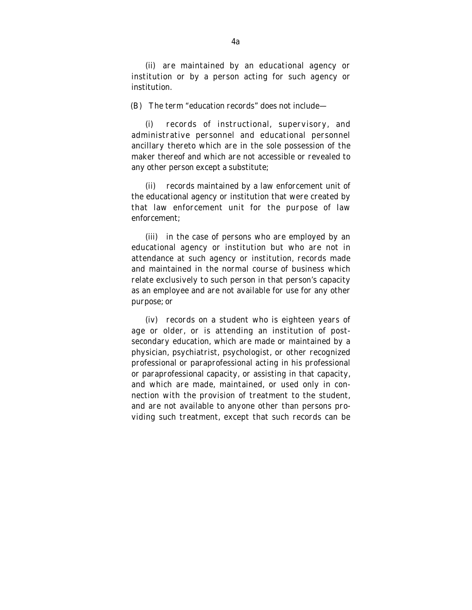(ii) are maintained by an educational agency or institution or by a person acting for such agency or institution.

(B) The term "education records" does not include—

(i) records of instructional, supervisory, and administrative personnel and educational personnel ancillary thereto which are in the sole possession of the maker thereof and which are not accessible or revealed to any other person except a substitute;

(ii) records maintained by a law enforcement unit of the educational agency or institution that were created by that law enforcement unit for the purpose of law enforcement;

(iii) in the case of persons who are employed by an educational agency or institution but who are not in attendance at such agency or institution, records made and maintained in the normal course of business which relate exclusively to such person in that person's capacity as an employee and are not available for use for any other purpose; or

(iv) records on a student who is eighteen years of age or older, or is attending an institution of postsecondary education, which are made or maintained by a physician, psychiatrist, psychologist, or other recognized professional or paraprofessional acting in his professional or paraprofessional capacity, or assisting in that capacity, and which are made, maintained, or used only in connection with the provision of treatment to the student, and are not available to anyone other than persons providing such treatment, except that such records can be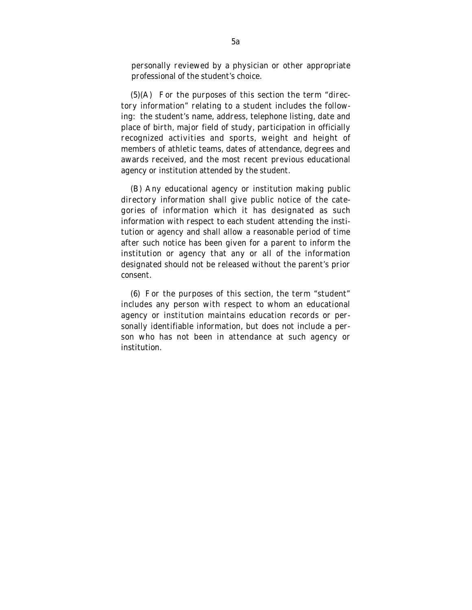personally reviewed by a physician or other appropriate professional of the student's choice.

 $(5)(A)$  For the purposes of this section the term "directory information" relating to a student includes the following: the student's name, address, telephone listing, date and place of birth, major field of study, participation in officially recognized activities and sports, weight and height of members of athletic teams, dates of attendance, degrees and awards received, and the most recent previous educational agency or institution attended by the student.

(B) Any educational agency or institution making public directory information shall give public notice of the categories of information which it has designated as such information with respect to each student attending the institution or agency and shall allow a reasonable period of time after such notice has been given for a parent to inform the institution or agency that any or all of the information designated should not be released without the parent's prior consent.

(6) For the purposes of this section, the term "student" includes any person with respect to whom an educational agency or institution maintains education records or personally identifiable information, but does not include a person who has not been in attendance at such agency or institution.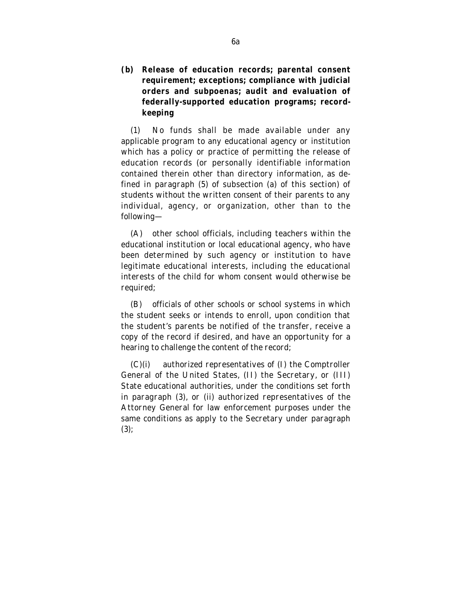## **(b) Release of education records; parental consent requirement; exceptions; compliance with judicial orders and subpoenas; audit and evaluation of federally-supported education programs; recordkeeping**

(1) No funds shall be made available under any applicable program to any educational agency or institution which has a policy or practice of permitting the release of education records (or personally identifiable information contained therein other than directory information, as defined in paragraph (5) of subsection (a) of this section) of students without the written consent of their parents to any individual, agency, or organization, other than to the following—

(A) other school officials, including teachers within the educational institution or local educational agency, who have been determined by such agency or institution to have legitimate educational interests, including the educational interests of the child for whom consent would otherwise be required;

(B) officials of other schools or school systems in which the student seeks or intends to enroll, upon condition that the student's parents be notified of the transfer, receive a copy of the record if desired, and have an opportunity for a hearing to challenge the content of the record;

(C)(i) authorized representatives of (I) the Comptroller General of the United States, (II) the Secretary, or (III) State educational authorities, under the conditions set forth in paragraph (3), or (ii) authorized representatives of the Attorney General for law enforcement purposes under the same conditions as apply to the Secretary under paragraph (3);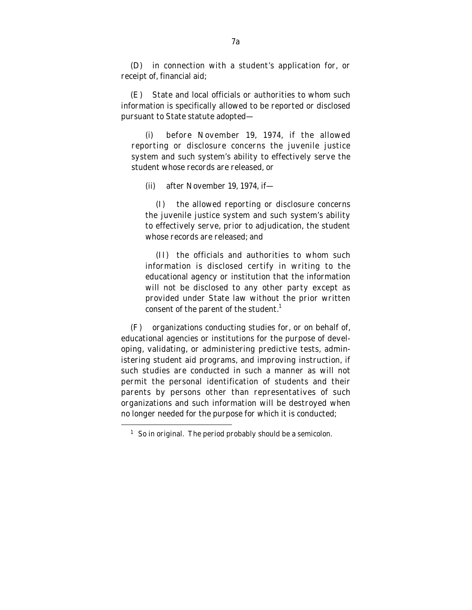(D) in connection with a student's application for, or receipt of, financial aid;

(E) State and local officials or authorities to whom such information is specifically allowed to be reported or disclosed pursuant to State statute adopted—

(i) before November 19, 1974, if the allowed reporting or disclosure concerns the juvenile justice system and such system's ability to effectively serve the student whose records are released, or

(ii) after November 19, 1974, if—

(I) the allowed reporting or disclosure concerns the juvenile justice system and such system's ability to effectively serve, prior to adjudication, the student whose records are released; and

(II) the officials and authorities to whom such information is disclosed certify in writing to the educational agency or institution that the information will not be disclosed to any other party except as provided under State law without the prior written consent of the parent of the student.<sup>1</sup>

(F) organizations conducting studies for, or on behalf of, educational agencies or institutions for the purpose of developing, validating, or administering predictive tests, administering student aid programs, and improving instruction, if such studies are conducted in such a manner as will not permit the personal identification of students and their parents by persons other than representatives of such organizations and such information will be destroyed when no longer needed for the purpose for which it is conducted;

<sup>&</sup>lt;sup>1</sup> So in original. The period probably should be a semicolon.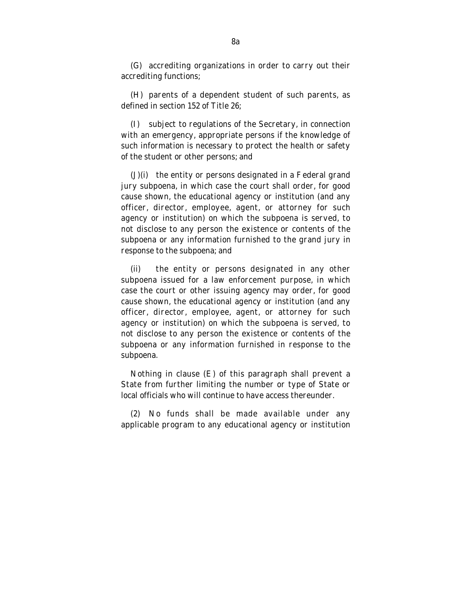(G) accrediting organizations in order to carry out their accrediting functions;

(H) parents of a dependent student of such parents, as defined in section 152 of Title 26;

(I) subject to regulations of the Secretary, in connection with an emergency, appropriate persons if the knowledge of such information is necessary to protect the health or safety of the student or other persons; and

(J)(i) the entity or persons designated in a Federal grand jury subpoena, in which case the court shall order, for good cause shown, the educational agency or institution (and any officer, director, employee, agent, or attorney for such agency or institution) on which the subpoena is served, to not disclose to any person the existence or contents of the subpoena or any information furnished to the grand jury in response to the subpoena; and

(ii) the entity or persons designated in any other subpoena issued for a law enforcement purpose, in which case the court or other issuing agency may order, for good cause shown, the educational agency or institution (and any officer, director, employee, agent, or attorney for such agency or institution) on which the subpoena is served, to not disclose to any person the existence or contents of the subpoena or any information furnished in response to the subpoena.

Nothing in clause (E) of this paragraph shall prevent a State from further limiting the number or type of State or local officials who will continue to have access thereunder.

(2) No funds shall be made available under any applicable program to any educational agency or institution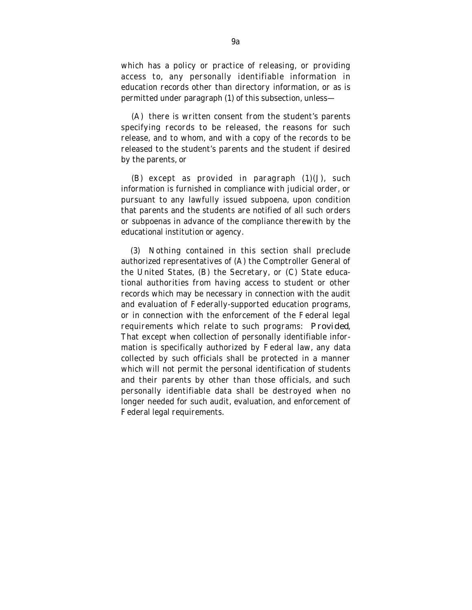which has a policy or practice of releasing, or providing access to, any personally identifiable information in education records other than directory information, or as is permitted under paragraph (1) of this subsection, unless—

(A) there is written consent from the student's parents specifying records to be released, the reasons for such release, and to whom, and with a copy of the records to be released to the student's parents and the student if desired by the parents, or

(B) except as provided in paragraph (1)(J), such information is furnished in compliance with judicial order, or pursuant to any lawfully issued subpoena, upon condition that parents and the students are notified of all such orders or subpoenas in advance of the compliance therewith by the educational institution or agency.

(3) Nothing contained in this section shall preclude authorized representatives of (A) the Comptroller General of the United States, (B) the Secretary, or (C) State educational authorities from having access to student or other records which may be necessary in connection with the audit and evaluation of Federally-supported education programs, or in connection with the enforcement of the Federal legal requirements which relate to such programs: *Provided*, That except when collection of personally identifiable information is specifically authorized by Federal law, any data collected by such officials shall be protected in a manner which will not permit the personal identification of students and their parents by other than those officials, and such personally identifiable data shall be destroyed when no longer needed for such audit, evaluation, and enforcement of Federal legal requirements.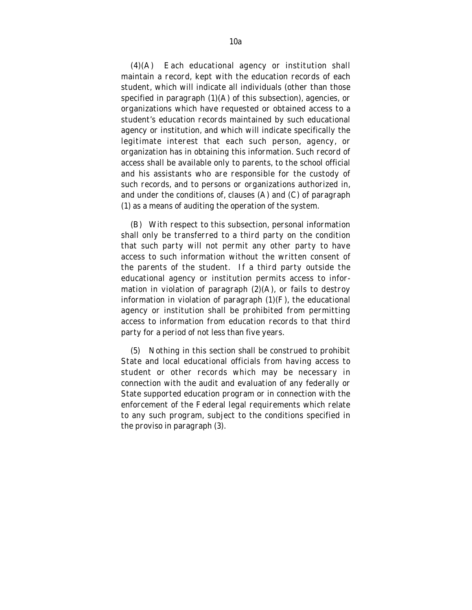(4)(A) Each educational agency or institution shall maintain a record, kept with the education records of each student, which will indicate all individuals (other than those specified in paragraph  $(1)(A)$  of this subsection), agencies, or organizations which have requested or obtained access to a student's education records maintained by such educational agency or institution, and which will indicate specifically the legitimate interest that each such person, agency, or organization has in obtaining this information. Such record of access shall be available only to parents, to the school official and his assistants who are responsible for the custody of such records, and to persons or organizations authorized in, and under the conditions of, clauses (A) and (C) of paragraph (1) as a means of auditing the operation of the system.

(B) With respect to this subsection, personal information shall only be transferred to a third party on the condition that such party will not permit any other party to have access to such information without the written consent of the parents of the student. If a third party outside the educational agency or institution permits access to information in violation of paragraph (2)(A), or fails to destroy information in violation of paragraph  $(1)(F)$ , the educational agency or institution shall be prohibited from permitting access to information from education records to that third party for a period of not less than five years.

(5) Nothing in this section shall be construed to prohibit State and local educational officials from having access to student or other records which may be necessary in connection with the audit and evaluation of any federally or State supported education program or in connection with the enforcement of the Federal legal requirements which relate to any such program, subject to the conditions specified in the proviso in paragraph (3).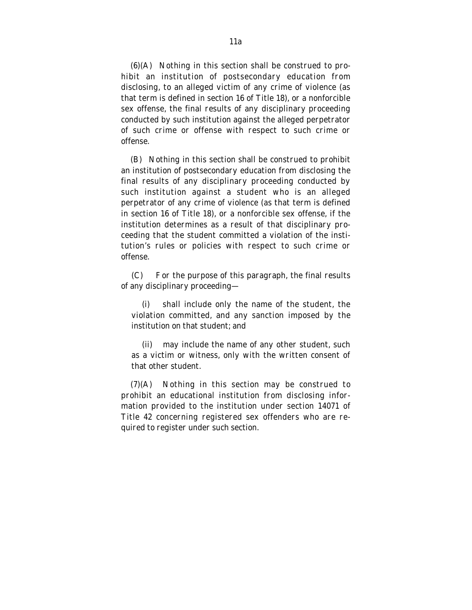(6)(A) Nothing in this section shall be construed to prohibit an institution of postsecondary education from disclosing, to an alleged victim of any crime of violence (as that term is defined in section 16 of Title 18), or a nonforcible sex offense, the final results of any disciplinary proceeding conducted by such institution against the alleged perpetrator of such crime or offense with respect to such crime or offense.

(B) Nothing in this section shall be construed to prohibit an institution of postsecondary education from disclosing the final results of any disciplinary proceeding conducted by such institution against a student who is an alleged perpetrator of any crime of violence (as that term is defined in section 16 of Title 18), or a nonforcible sex offense, if the institution determines as a result of that disciplinary proceeding that the student committed a violation of the institution's rules or policies with respect to such crime or offense.

(C) For the purpose of this paragraph, the final results of any disciplinary proceeding—

(i) shall include only the name of the student, the violation committed, and any sanction imposed by the institution on that student; and

(ii) may include the name of any other student, such as a victim or witness, only with the written consent of that other student.

(7)(A) Nothing in this section may be construed to prohibit an educational institution from disclosing information provided to the institution under section 14071 of Title 42 concerning registered sex offenders who are required to register under such section.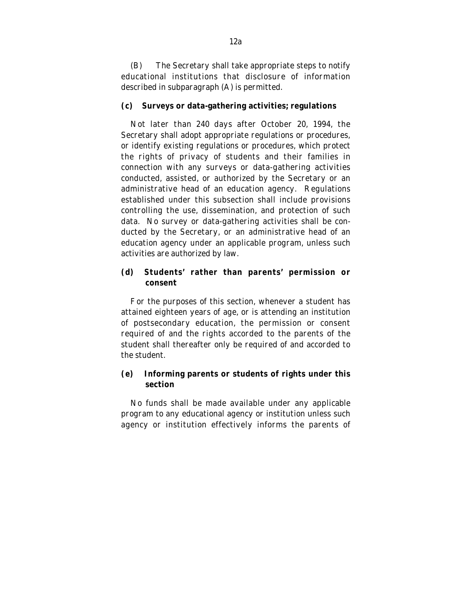(B) The Secretary shall take appropriate steps to notify educational institutions that disclosure of information described in subparagraph (A) is permitted.

#### **(c) Surveys or data-gathering activities; regulations**

Not later than 240 days after October 20, 1994, the Secretary shall adopt appropriate regulations or procedures, or identify existing regulations or procedures, which protect the rights of privacy of students and their families in connection with any surveys or data-gathering activities conducted, assisted, or authorized by the Secretary or an administrative head of an education agency. Regulations established under this subsection shall include provisions controlling the use, dissemination, and protection of such data. No survey or data-gathering activities shall be conducted by the Secretary, or an administrative head of an education agency under an applicable program, unless such activities are authorized by law.

## **(d) Students' rather than parents' permission or consent**

For the purposes of this section, whenever a student has attained eighteen years of age, or is attending an institution of postsecondary education, the permission or consent required of and the rights accorded to the parents of the student shall thereafter only be required of and accorded to the student.

## **(e) Informing parents or students of rights under this section**

No funds shall be made available under any applicable program to any educational agency or institution unless such agency or institution effectively informs the parents of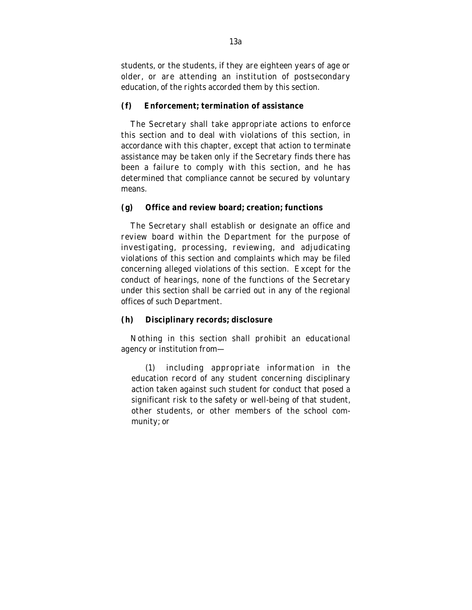students, or the students, if they are eighteen years of age or older, or are attending an institution of postsecondary education, of the rights accorded them by this section.

#### **(f) Enforcement; termination of assistance**

The Secretary shall take appropriate actions to enforce this section and to deal with violations of this section, in accordance with this chapter, except that action to terminate assistance may be taken only if the Secretary finds there has been a failure to comply with this section, and he has determined that compliance cannot be secured by voluntary means.

#### **(g) Office and review board; creation; functions**

The Secretary shall establish or designate an office and review board within the Department for the purpose of investigating, processing, reviewing, and adjudicating violations of this section and complaints which may be filed concerning alleged violations of this section. Except for the conduct of hearings, none of the functions of the Secretary under this section shall be carried out in any of the regional offices of such Department.

## **(h) Disciplinary records; disclosure**

Nothing in this section shall prohibit an educational agency or institution from—

(1) including appropriate information in the education record of any student concerning disciplinary action taken against such student for conduct that posed a significant risk to the safety or well-being of that student, other students, or other members of the school community; or